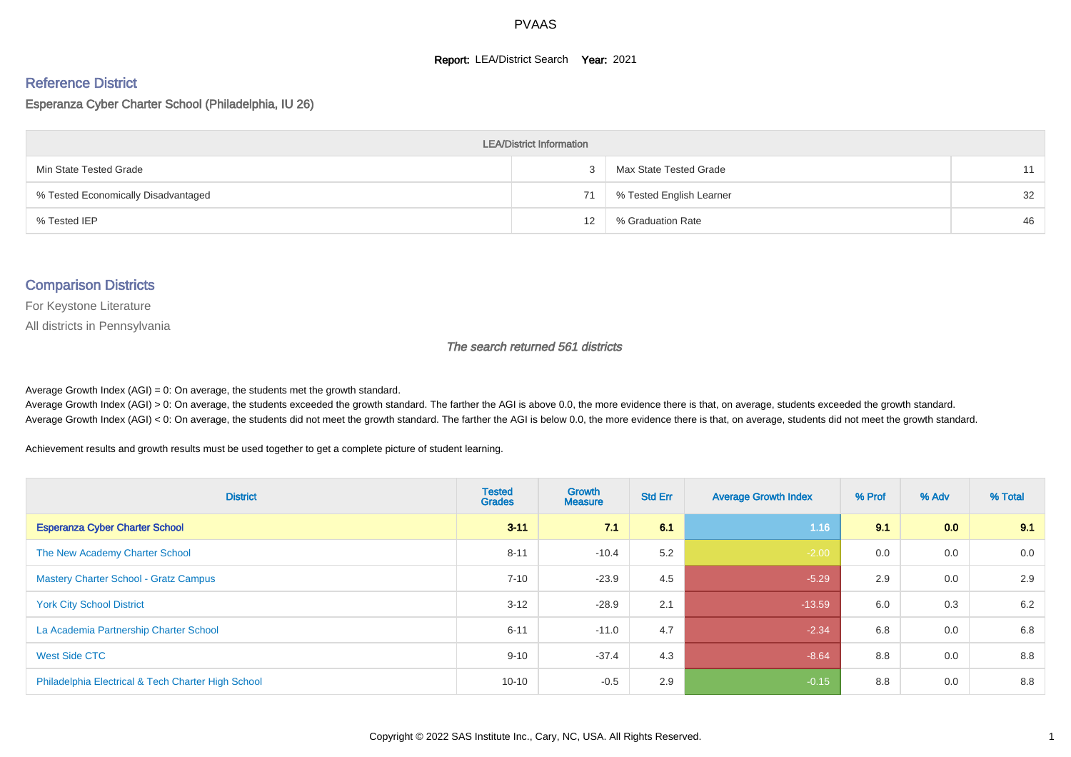#### **Report: LEA/District Search Year: 2021**

# Reference District

## Esperanza Cyber Charter School (Philadelphia, IU 26)

| <b>LEA/District Information</b>     |    |                          |    |  |  |  |  |  |  |  |
|-------------------------------------|----|--------------------------|----|--|--|--|--|--|--|--|
| Min State Tested Grade              |    | Max State Tested Grade   | 11 |  |  |  |  |  |  |  |
| % Tested Economically Disadvantaged | 71 | % Tested English Learner | 32 |  |  |  |  |  |  |  |
| % Tested IEP                        | 12 | % Graduation Rate        | 46 |  |  |  |  |  |  |  |

#### Comparison Districts

For Keystone Literature

All districts in Pennsylvania

The search returned 561 districts

Average Growth Index  $(AGI) = 0$ : On average, the students met the growth standard.

Average Growth Index (AGI) > 0: On average, the students exceeded the growth standard. The farther the AGI is above 0.0, the more evidence there is that, on average, students exceeded the growth standard. Average Growth Index (AGI) < 0: On average, the students did not meet the growth standard. The farther the AGI is below 0.0, the more evidence there is that, on average, students did not meet the growth standard.

Achievement results and growth results must be used together to get a complete picture of student learning.

| <b>District</b>                                    | <b>Tested</b><br><b>Grades</b> | <b>Growth</b><br><b>Measure</b> | <b>Std Err</b> | <b>Average Growth Index</b> | % Prof | % Adv            | % Total |
|----------------------------------------------------|--------------------------------|---------------------------------|----------------|-----------------------------|--------|------------------|---------|
| <b>Esperanza Cyber Charter School</b>              | $3 - 11$                       | 71                              | 6.1            | 1.16                        | 9.1    | 0.0 <sub>1</sub> | 9.1     |
| The New Academy Charter School                     | $8 - 11$                       | $-10.4$                         | 5.2            | $-2.00$                     | 0.0    | 0.0              | 0.0     |
| <b>Mastery Charter School - Gratz Campus</b>       | $7 - 10$                       | $-23.9$                         | 4.5            | $-5.29$                     | 2.9    | 0.0              | 2.9     |
| <b>York City School District</b>                   | $3 - 12$                       | $-28.9$                         | 2.1            | $-13.59$                    | 6.0    | 0.3              | 6.2     |
| La Academia Partnership Charter School             | $6 - 11$                       | $-11.0$                         | 4.7            | $-2.34$                     | 6.8    | 0.0              | 6.8     |
| West Side CTC                                      | $9 - 10$                       | $-37.4$                         | 4.3            | $-8.64$                     | 8.8    | 0.0              | 8.8     |
| Philadelphia Electrical & Tech Charter High School | $10 - 10$                      | $-0.5$                          | 2.9            | $-0.15$                     | 8.8    | 0.0              | 8.8     |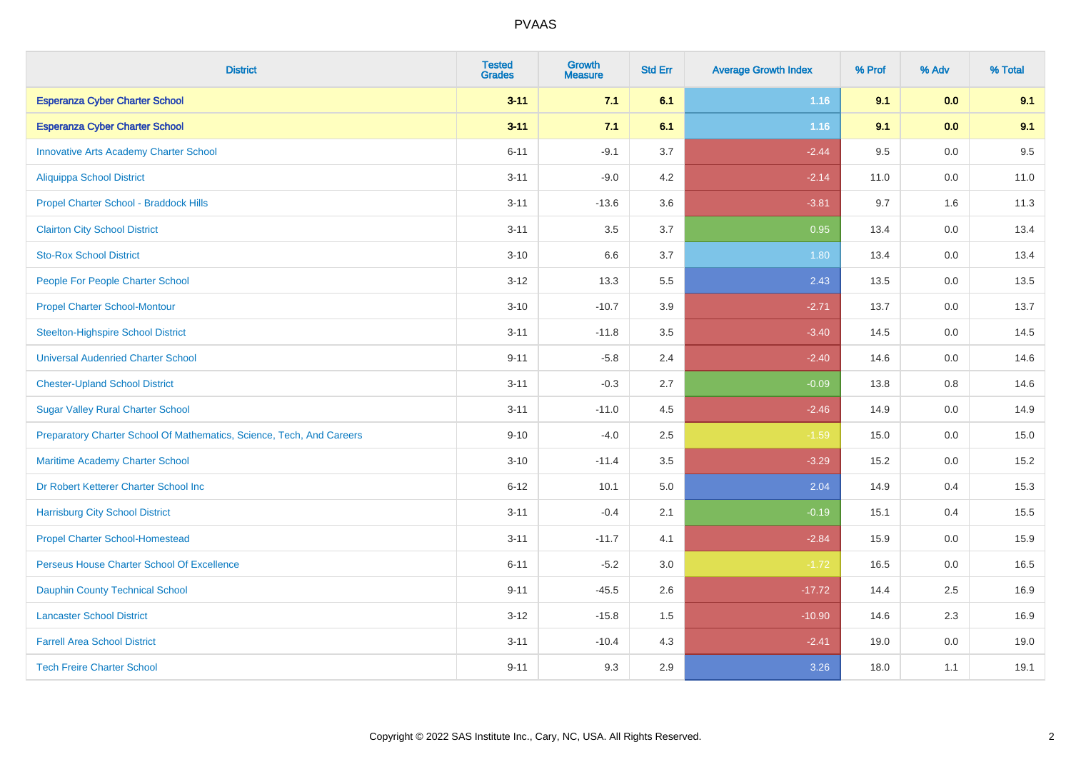| <b>District</b>                                                       | <b>Tested</b><br><b>Grades</b> | <b>Growth</b><br><b>Measure</b> | <b>Std Err</b> | <b>Average Growth Index</b> | % Prof | % Adv   | % Total |
|-----------------------------------------------------------------------|--------------------------------|---------------------------------|----------------|-----------------------------|--------|---------|---------|
| <b>Esperanza Cyber Charter School</b>                                 | $3 - 11$                       | 7.1                             | 6.1            | $1.16$                      | 9.1    | 0.0     | 9.1     |
| <b>Esperanza Cyber Charter School</b>                                 | $3 - 11$                       | 7.1                             | 6.1            | 1.16                        | 9.1    | 0.0     | 9.1     |
| <b>Innovative Arts Academy Charter School</b>                         | $6 - 11$                       | $-9.1$                          | 3.7            | $-2.44$                     | 9.5    | 0.0     | 9.5     |
| Aliquippa School District                                             | $3 - 11$                       | $-9.0$                          | 4.2            | $-2.14$                     | 11.0   | $0.0\,$ | 11.0    |
| Propel Charter School - Braddock Hills                                | $3 - 11$                       | $-13.6$                         | 3.6            | $-3.81$                     | 9.7    | 1.6     | 11.3    |
| <b>Clairton City School District</b>                                  | $3 - 11$                       | 3.5                             | 3.7            | 0.95                        | 13.4   | 0.0     | 13.4    |
| <b>Sto-Rox School District</b>                                        | $3 - 10$                       | 6.6                             | 3.7            | 1.80                        | 13.4   | 0.0     | 13.4    |
| People For People Charter School                                      | $3 - 12$                       | 13.3                            | 5.5            | 2.43                        | 13.5   | 0.0     | 13.5    |
| <b>Propel Charter School-Montour</b>                                  | $3 - 10$                       | $-10.7$                         | 3.9            | $-2.71$                     | 13.7   | 0.0     | 13.7    |
| <b>Steelton-Highspire School District</b>                             | $3 - 11$                       | $-11.8$                         | 3.5            | $-3.40$                     | 14.5   | 0.0     | 14.5    |
| <b>Universal Audenried Charter School</b>                             | $9 - 11$                       | $-5.8$                          | 2.4            | $-2.40$                     | 14.6   | 0.0     | 14.6    |
| <b>Chester-Upland School District</b>                                 | $3 - 11$                       | $-0.3$                          | 2.7            | $-0.09$                     | 13.8   | 0.8     | 14.6    |
| <b>Sugar Valley Rural Charter School</b>                              | $3 - 11$                       | $-11.0$                         | 4.5            | $-2.46$                     | 14.9   | $0.0\,$ | 14.9    |
| Preparatory Charter School Of Mathematics, Science, Tech, And Careers | $9 - 10$                       | $-4.0$                          | 2.5            | $-1.59$                     | 15.0   | 0.0     | 15.0    |
| Maritime Academy Charter School                                       | $3 - 10$                       | $-11.4$                         | 3.5            | $-3.29$                     | 15.2   | 0.0     | 15.2    |
| Dr Robert Ketterer Charter School Inc                                 | $6 - 12$                       | 10.1                            | 5.0            | 2.04                        | 14.9   | 0.4     | 15.3    |
| <b>Harrisburg City School District</b>                                | $3 - 11$                       | $-0.4$                          | 2.1            | $-0.19$                     | 15.1   | 0.4     | 15.5    |
| <b>Propel Charter School-Homestead</b>                                | $3 - 11$                       | $-11.7$                         | 4.1            | $-2.84$                     | 15.9   | 0.0     | 15.9    |
| Perseus House Charter School Of Excellence                            | $6 - 11$                       | $-5.2$                          | 3.0            | $-1.72$                     | 16.5   | 0.0     | 16.5    |
| <b>Dauphin County Technical School</b>                                | $9 - 11$                       | $-45.5$                         | 2.6            | $-17.72$                    | 14.4   | 2.5     | 16.9    |
| <b>Lancaster School District</b>                                      | $3 - 12$                       | $-15.8$                         | 1.5            | $-10.90$                    | 14.6   | 2.3     | 16.9    |
| <b>Farrell Area School District</b>                                   | $3 - 11$                       | $-10.4$                         | 4.3            | $-2.41$                     | 19.0   | $0.0\,$ | 19.0    |
| <b>Tech Freire Charter School</b>                                     | $9 - 11$                       | 9.3                             | 2.9            | 3.26                        | 18.0   | 1.1     | 19.1    |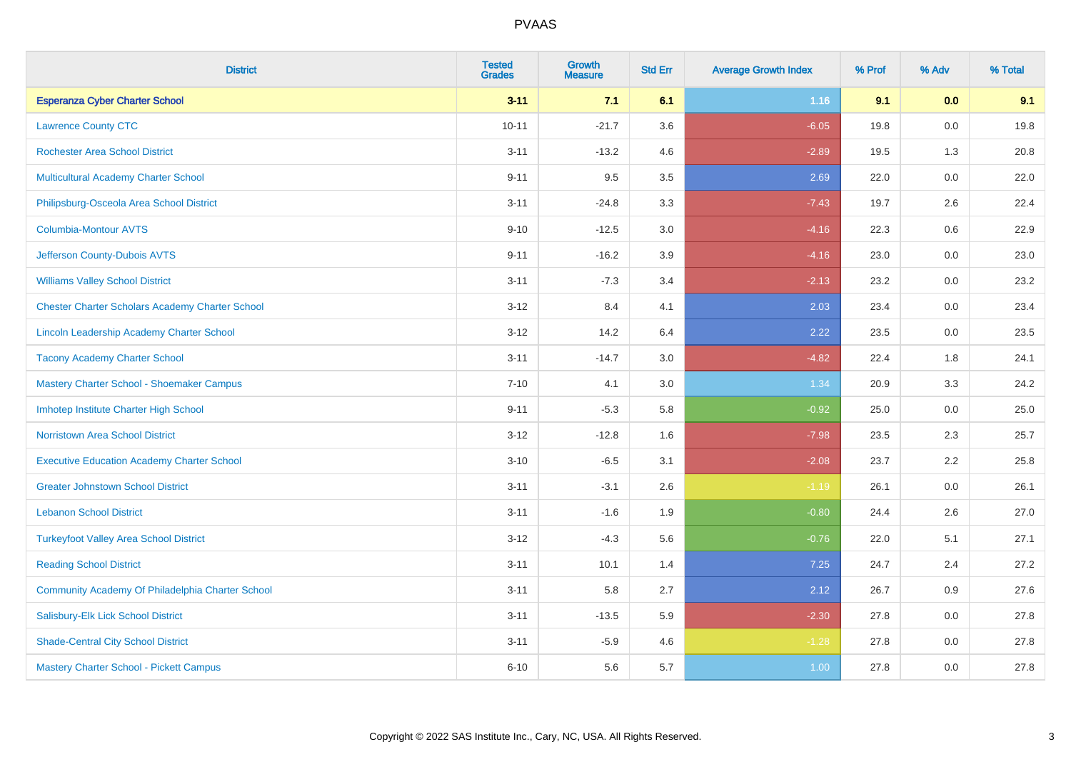| <b>District</b>                                        | <b>Tested</b><br><b>Grades</b> | <b>Growth</b><br><b>Measure</b> | <b>Std Err</b> | <b>Average Growth Index</b> | % Prof | % Adv   | % Total |
|--------------------------------------------------------|--------------------------------|---------------------------------|----------------|-----------------------------|--------|---------|---------|
| <b>Esperanza Cyber Charter School</b>                  | $3 - 11$                       | 7.1                             | 6.1            | 1.16                        | 9.1    | 0.0     | 9.1     |
| <b>Lawrence County CTC</b>                             | $10 - 11$                      | $-21.7$                         | 3.6            | $-6.05$                     | 19.8   | 0.0     | 19.8    |
| <b>Rochester Area School District</b>                  | $3 - 11$                       | $-13.2$                         | 4.6            | $-2.89$                     | 19.5   | 1.3     | 20.8    |
| Multicultural Academy Charter School                   | $9 - 11$                       | 9.5                             | 3.5            | 2.69                        | 22.0   | 0.0     | 22.0    |
| Philipsburg-Osceola Area School District               | $3 - 11$                       | $-24.8$                         | 3.3            | $-7.43$                     | 19.7   | 2.6     | 22.4    |
| <b>Columbia-Montour AVTS</b>                           | $9 - 10$                       | $-12.5$                         | 3.0            | $-4.16$                     | 22.3   | 0.6     | 22.9    |
| Jefferson County-Dubois AVTS                           | $9 - 11$                       | $-16.2$                         | 3.9            | $-4.16$                     | 23.0   | 0.0     | 23.0    |
| <b>Williams Valley School District</b>                 | $3 - 11$                       | $-7.3$                          | 3.4            | $-2.13$                     | 23.2   | 0.0     | 23.2    |
| <b>Chester Charter Scholars Academy Charter School</b> | $3 - 12$                       | 8.4                             | 4.1            | 2.03                        | 23.4   | 0.0     | 23.4    |
| Lincoln Leadership Academy Charter School              | $3 - 12$                       | 14.2                            | 6.4            | 2.22                        | 23.5   | 0.0     | 23.5    |
| <b>Tacony Academy Charter School</b>                   | $3 - 11$                       | $-14.7$                         | 3.0            | $-4.82$                     | 22.4   | 1.8     | 24.1    |
| Mastery Charter School - Shoemaker Campus              | $7 - 10$                       | 4.1                             | 3.0            | 1.34                        | 20.9   | 3.3     | 24.2    |
| Imhotep Institute Charter High School                  | $9 - 11$                       | $-5.3$                          | 5.8            | $-0.92$                     | 25.0   | $0.0\,$ | 25.0    |
| <b>Norristown Area School District</b>                 | $3 - 12$                       | $-12.8$                         | 1.6            | $-7.98$                     | 23.5   | 2.3     | 25.7    |
| <b>Executive Education Academy Charter School</b>      | $3 - 10$                       | $-6.5$                          | 3.1            | $-2.08$                     | 23.7   | 2.2     | 25.8    |
| <b>Greater Johnstown School District</b>               | $3 - 11$                       | $-3.1$                          | 2.6            | $-1.19$                     | 26.1   | $0.0\,$ | 26.1    |
| <b>Lebanon School District</b>                         | $3 - 11$                       | $-1.6$                          | 1.9            | $-0.80$                     | 24.4   | 2.6     | 27.0    |
| <b>Turkeyfoot Valley Area School District</b>          | $3 - 12$                       | $-4.3$                          | 5.6            | $-0.76$                     | 22.0   | 5.1     | 27.1    |
| <b>Reading School District</b>                         | $3 - 11$                       | 10.1                            | 1.4            | 7.25                        | 24.7   | 2.4     | 27.2    |
| Community Academy Of Philadelphia Charter School       | $3 - 11$                       | 5.8                             | 2.7            | 2.12                        | 26.7   | 0.9     | 27.6    |
| Salisbury-Elk Lick School District                     | $3 - 11$                       | $-13.5$                         | 5.9            | $-2.30$                     | 27.8   | 0.0     | 27.8    |
| <b>Shade-Central City School District</b>              | $3 - 11$                       | $-5.9$                          | 4.6            | $-1.28$                     | 27.8   | 0.0     | 27.8    |
| Mastery Charter School - Pickett Campus                | $6 - 10$                       | 5.6                             | 5.7            | 1.00                        | 27.8   | 0.0     | 27.8    |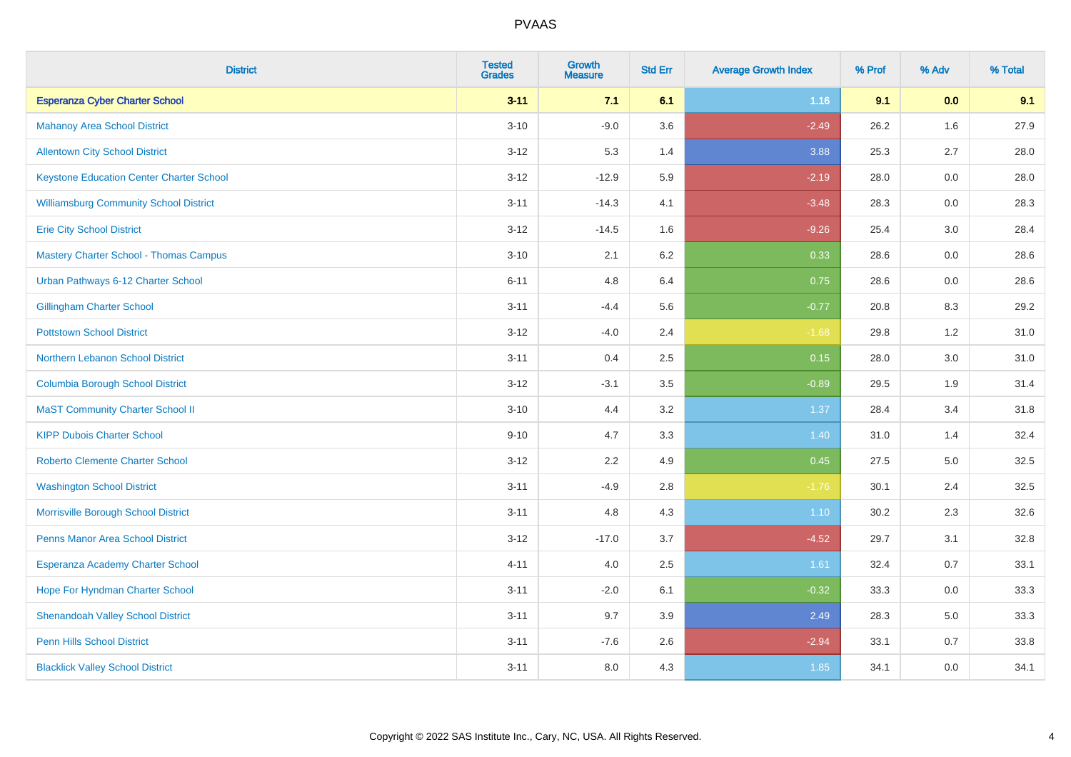| <b>District</b>                                 | <b>Tested</b><br><b>Grades</b> | <b>Growth</b><br><b>Measure</b> | <b>Std Err</b> | <b>Average Growth Index</b> | % Prof | % Adv | % Total |
|-------------------------------------------------|--------------------------------|---------------------------------|----------------|-----------------------------|--------|-------|---------|
| <b>Esperanza Cyber Charter School</b>           | $3 - 11$                       | 7.1                             | 6.1            | $1.16$                      | 9.1    | 0.0   | 9.1     |
| <b>Mahanoy Area School District</b>             | $3 - 10$                       | $-9.0$                          | 3.6            | $-2.49$                     | 26.2   | 1.6   | 27.9    |
| <b>Allentown City School District</b>           | $3 - 12$                       | 5.3                             | 1.4            | 3.88                        | 25.3   | 2.7   | 28.0    |
| <b>Keystone Education Center Charter School</b> | $3 - 12$                       | $-12.9$                         | 5.9            | $-2.19$                     | 28.0   | 0.0   | 28.0    |
| <b>Williamsburg Community School District</b>   | $3 - 11$                       | $-14.3$                         | 4.1            | $-3.48$                     | 28.3   | 0.0   | 28.3    |
| <b>Erie City School District</b>                | $3 - 12$                       | $-14.5$                         | 1.6            | $-9.26$                     | 25.4   | 3.0   | 28.4    |
| <b>Mastery Charter School - Thomas Campus</b>   | $3 - 10$                       | 2.1                             | 6.2            | 0.33                        | 28.6   | 0.0   | 28.6    |
| Urban Pathways 6-12 Charter School              | $6 - 11$                       | 4.8                             | 6.4            | 0.75                        | 28.6   | 0.0   | 28.6    |
| <b>Gillingham Charter School</b>                | $3 - 11$                       | $-4.4$                          | 5.6            | $-0.77$                     | 20.8   | 8.3   | 29.2    |
| <b>Pottstown School District</b>                | $3 - 12$                       | $-4.0$                          | 2.4            | $-1.68$                     | 29.8   | 1.2   | 31.0    |
| Northern Lebanon School District                | $3 - 11$                       | 0.4                             | 2.5            | 0.15                        | 28.0   | 3.0   | 31.0    |
| <b>Columbia Borough School District</b>         | $3 - 12$                       | $-3.1$                          | 3.5            | $-0.89$                     | 29.5   | 1.9   | 31.4    |
| <b>MaST Community Charter School II</b>         | $3 - 10$                       | 4.4                             | 3.2            | 1.37                        | 28.4   | 3.4   | 31.8    |
| <b>KIPP Dubois Charter School</b>               | $9 - 10$                       | 4.7                             | 3.3            | 1.40                        | 31.0   | 1.4   | 32.4    |
| <b>Roberto Clemente Charter School</b>          | $3 - 12$                       | 2.2                             | 4.9            | 0.45                        | 27.5   | 5.0   | 32.5    |
| <b>Washington School District</b>               | $3 - 11$                       | $-4.9$                          | 2.8            | $-1.76$                     | 30.1   | 2.4   | 32.5    |
| Morrisville Borough School District             | $3 - 11$                       | 4.8                             | 4.3            | $1.10$                      | 30.2   | 2.3   | 32.6    |
| Penns Manor Area School District                | $3 - 12$                       | $-17.0$                         | 3.7            | $-4.52$                     | 29.7   | 3.1   | 32.8    |
| Esperanza Academy Charter School                | $4 - 11$                       | 4.0                             | 2.5            | 1.61                        | 32.4   | 0.7   | 33.1    |
| Hope For Hyndman Charter School                 | $3 - 11$                       | $-2.0$                          | 6.1            | $-0.32$                     | 33.3   | 0.0   | 33.3    |
| <b>Shenandoah Valley School District</b>        | $3 - 11$                       | 9.7                             | 3.9            | 2.49                        | 28.3   | 5.0   | 33.3    |
| <b>Penn Hills School District</b>               | $3 - 11$                       | $-7.6$                          | 2.6            | $-2.94$                     | 33.1   | 0.7   | 33.8    |
| <b>Blacklick Valley School District</b>         | $3 - 11$                       | 8.0                             | 4.3            | 1.85                        | 34.1   | 0.0   | 34.1    |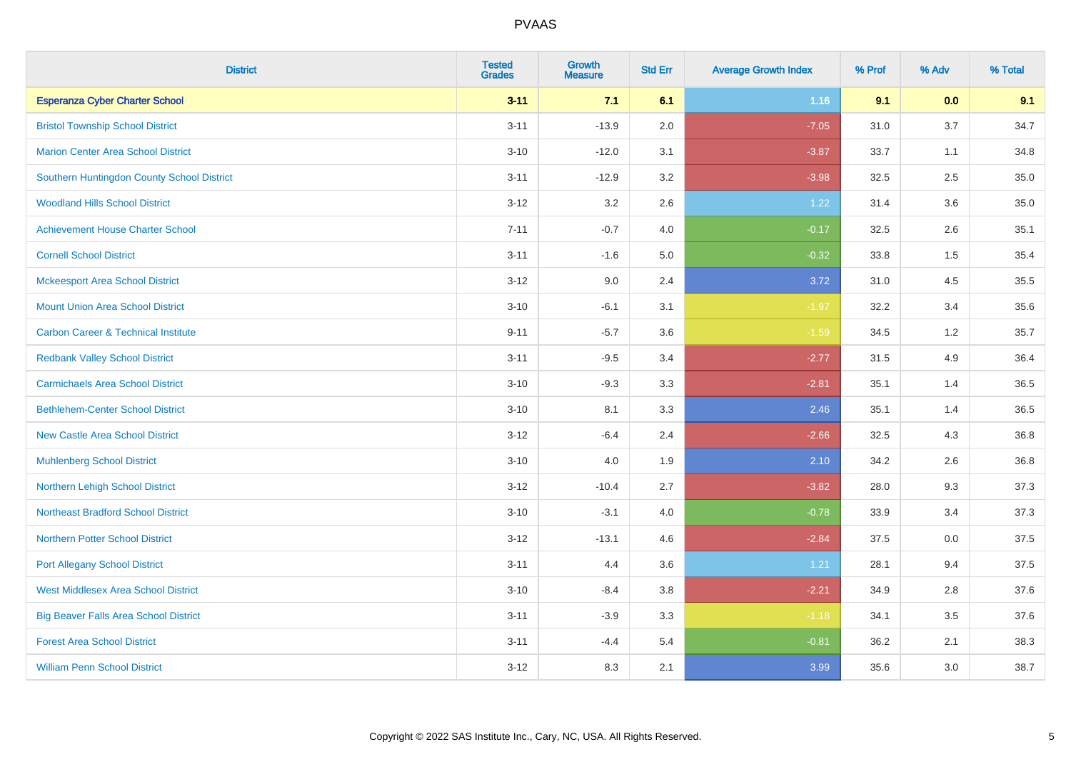| <b>District</b>                                | <b>Tested</b><br><b>Grades</b> | <b>Growth</b><br><b>Measure</b> | <b>Std Err</b> | <b>Average Growth Index</b> | % Prof | % Adv | % Total |
|------------------------------------------------|--------------------------------|---------------------------------|----------------|-----------------------------|--------|-------|---------|
| <b>Esperanza Cyber Charter School</b>          | $3 - 11$                       | 7.1                             | 6.1            | $1.16$                      | 9.1    | 0.0   | 9.1     |
| <b>Bristol Township School District</b>        | $3 - 11$                       | $-13.9$                         | 2.0            | $-7.05$                     | 31.0   | 3.7   | 34.7    |
| <b>Marion Center Area School District</b>      | $3 - 10$                       | $-12.0$                         | 3.1            | $-3.87$                     | 33.7   | 1.1   | 34.8    |
| Southern Huntingdon County School District     | $3 - 11$                       | $-12.9$                         | 3.2            | $-3.98$                     | 32.5   | 2.5   | 35.0    |
| <b>Woodland Hills School District</b>          | $3 - 12$                       | 3.2                             | 2.6            | 1.22                        | 31.4   | 3.6   | 35.0    |
| <b>Achievement House Charter School</b>        | $7 - 11$                       | $-0.7$                          | 4.0            | $-0.17$                     | 32.5   | 2.6   | 35.1    |
| <b>Cornell School District</b>                 | $3 - 11$                       | $-1.6$                          | 5.0            | $-0.32$                     | 33.8   | 1.5   | 35.4    |
| <b>Mckeesport Area School District</b>         | $3 - 12$                       | 9.0                             | 2.4            | 3.72                        | 31.0   | 4.5   | 35.5    |
| <b>Mount Union Area School District</b>        | $3 - 10$                       | $-6.1$                          | 3.1            | $-1.97$                     | 32.2   | 3.4   | 35.6    |
| <b>Carbon Career &amp; Technical Institute</b> | $9 - 11$                       | $-5.7$                          | 3.6            | $-1.59$                     | 34.5   | 1.2   | 35.7    |
| <b>Redbank Valley School District</b>          | $3 - 11$                       | $-9.5$                          | 3.4            | $-2.77$                     | 31.5   | 4.9   | 36.4    |
| <b>Carmichaels Area School District</b>        | $3 - 10$                       | $-9.3$                          | 3.3            | $-2.81$                     | 35.1   | 1.4   | 36.5    |
| <b>Bethlehem-Center School District</b>        | $3 - 10$                       | 8.1                             | 3.3            | 2.46                        | 35.1   | 1.4   | 36.5    |
| <b>New Castle Area School District</b>         | $3 - 12$                       | $-6.4$                          | 2.4            | $-2.66$                     | 32.5   | 4.3   | 36.8    |
| <b>Muhlenberg School District</b>              | $3 - 10$                       | 4.0                             | 1.9            | 2.10                        | 34.2   | 2.6   | 36.8    |
| Northern Lehigh School District                | $3 - 12$                       | $-10.4$                         | 2.7            | $-3.82$                     | 28.0   | 9.3   | 37.3    |
| <b>Northeast Bradford School District</b>      | $3 - 10$                       | $-3.1$                          | 4.0            | $-0.78$                     | 33.9   | 3.4   | 37.3    |
| <b>Northern Potter School District</b>         | $3 - 12$                       | $-13.1$                         | 4.6            | $-2.84$                     | 37.5   | 0.0   | 37.5    |
| <b>Port Allegany School District</b>           | $3 - 11$                       | 4.4                             | 3.6            | 1.21                        | 28.1   | 9.4   | 37.5    |
| <b>West Middlesex Area School District</b>     | $3 - 10$                       | $-8.4$                          | 3.8            | $-2.21$                     | 34.9   | 2.8   | 37.6    |
| <b>Big Beaver Falls Area School District</b>   | $3 - 11$                       | $-3.9$                          | 3.3            | $-1.18$                     | 34.1   | 3.5   | 37.6    |
| <b>Forest Area School District</b>             | $3 - 11$                       | $-4.4$                          | 5.4            | $-0.81$                     | 36.2   | 2.1   | 38.3    |
| <b>William Penn School District</b>            | $3 - 12$                       | 8.3                             | 2.1            | 3.99                        | 35.6   | 3.0   | 38.7    |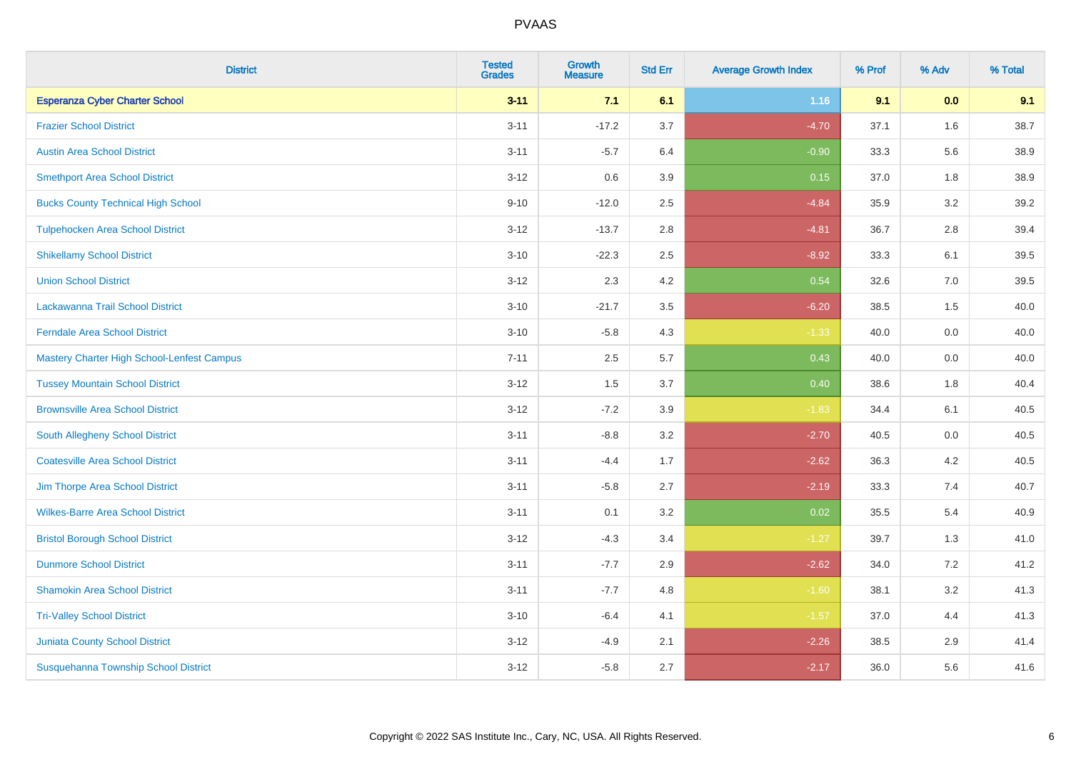| <b>District</b>                            | <b>Tested</b><br><b>Grades</b> | <b>Growth</b><br><b>Measure</b> | <b>Std Err</b> | <b>Average Growth Index</b> | % Prof | % Adv | % Total |
|--------------------------------------------|--------------------------------|---------------------------------|----------------|-----------------------------|--------|-------|---------|
| <b>Esperanza Cyber Charter School</b>      | $3 - 11$                       | 7.1                             | 6.1            | 1.16                        | 9.1    | 0.0   | 9.1     |
| <b>Frazier School District</b>             | $3 - 11$                       | $-17.2$                         | 3.7            | $-4.70$                     | 37.1   | 1.6   | 38.7    |
| <b>Austin Area School District</b>         | $3 - 11$                       | $-5.7$                          | 6.4            | $-0.90$                     | 33.3   | 5.6   | 38.9    |
| <b>Smethport Area School District</b>      | $3 - 12$                       | 0.6                             | 3.9            | 0.15                        | 37.0   | 1.8   | 38.9    |
| <b>Bucks County Technical High School</b>  | $9 - 10$                       | $-12.0$                         | 2.5            | $-4.84$                     | 35.9   | 3.2   | 39.2    |
| <b>Tulpehocken Area School District</b>    | $3 - 12$                       | $-13.7$                         | 2.8            | $-4.81$                     | 36.7   | 2.8   | 39.4    |
| <b>Shikellamy School District</b>          | $3 - 10$                       | $-22.3$                         | 2.5            | $-8.92$                     | 33.3   | 6.1   | 39.5    |
| <b>Union School District</b>               | $3 - 12$                       | 2.3                             | 4.2            | 0.54                        | 32.6   | 7.0   | 39.5    |
| Lackawanna Trail School District           | $3 - 10$                       | $-21.7$                         | 3.5            | $-6.20$                     | 38.5   | 1.5   | 40.0    |
| <b>Ferndale Area School District</b>       | $3 - 10$                       | $-5.8$                          | 4.3            | $-1.33$                     | 40.0   | 0.0   | 40.0    |
| Mastery Charter High School-Lenfest Campus | $7 - 11$                       | 2.5                             | 5.7            | 0.43                        | 40.0   | 0.0   | 40.0    |
| <b>Tussey Mountain School District</b>     | $3 - 12$                       | 1.5                             | 3.7            | 0.40                        | 38.6   | 1.8   | 40.4    |
| <b>Brownsville Area School District</b>    | $3 - 12$                       | $-7.2$                          | 3.9            | $-1.83$                     | 34.4   | 6.1   | 40.5    |
| South Allegheny School District            | $3 - 11$                       | $-8.8$                          | 3.2            | $-2.70$                     | 40.5   | 0.0   | 40.5    |
| <b>Coatesville Area School District</b>    | $3 - 11$                       | $-4.4$                          | 1.7            | $-2.62$                     | 36.3   | 4.2   | 40.5    |
| Jim Thorpe Area School District            | $3 - 11$                       | $-5.8$                          | 2.7            | $-2.19$                     | 33.3   | 7.4   | 40.7    |
| <b>Wilkes-Barre Area School District</b>   | $3 - 11$                       | 0.1                             | 3.2            | 0.02                        | 35.5   | 5.4   | 40.9    |
| <b>Bristol Borough School District</b>     | $3 - 12$                       | $-4.3$                          | 3.4            | $-1.27$                     | 39.7   | 1.3   | 41.0    |
| <b>Dunmore School District</b>             | $3 - 11$                       | $-7.7$                          | 2.9            | $-2.62$                     | 34.0   | 7.2   | 41.2    |
| <b>Shamokin Area School District</b>       | $3 - 11$                       | $-7.7$                          | 4.8            | $-1.60$                     | 38.1   | 3.2   | 41.3    |
| <b>Tri-Valley School District</b>          | $3 - 10$                       | $-6.4$                          | 4.1            | $-1.57$                     | 37.0   | 4.4   | 41.3    |
| <b>Juniata County School District</b>      | $3 - 12$                       | $-4.9$                          | 2.1            | $-2.26$                     | 38.5   | 2.9   | 41.4    |
| Susquehanna Township School District       | $3 - 12$                       | $-5.8$                          | 2.7            | $-2.17$                     | 36.0   | 5.6   | 41.6    |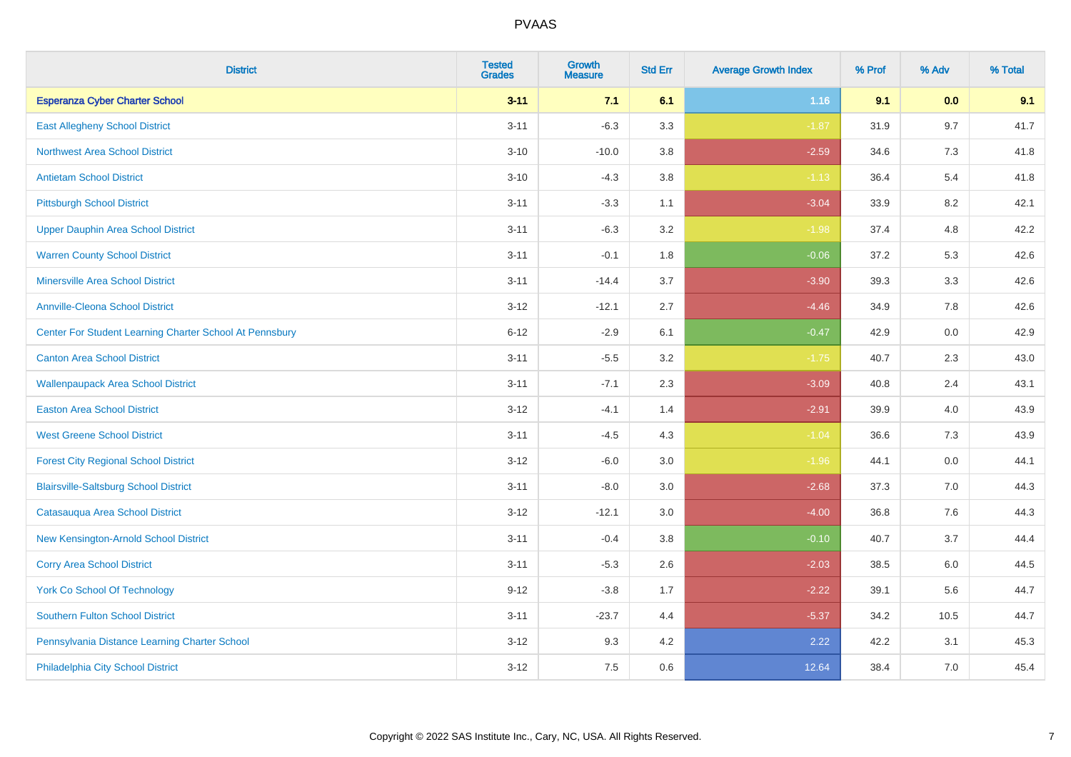| <b>District</b>                                         | <b>Tested</b><br><b>Grades</b> | <b>Growth</b><br><b>Measure</b> | <b>Std Err</b> | <b>Average Growth Index</b> | % Prof | % Adv | % Total |
|---------------------------------------------------------|--------------------------------|---------------------------------|----------------|-----------------------------|--------|-------|---------|
| <b>Esperanza Cyber Charter School</b>                   | $3 - 11$                       | 7.1                             | 6.1            | $1.16$                      | 9.1    | 0.0   | 9.1     |
| <b>East Allegheny School District</b>                   | $3 - 11$                       | $-6.3$                          | 3.3            | $-1.87$                     | 31.9   | 9.7   | 41.7    |
| <b>Northwest Area School District</b>                   | $3 - 10$                       | $-10.0$                         | 3.8            | $-2.59$                     | 34.6   | 7.3   | 41.8    |
| <b>Antietam School District</b>                         | $3 - 10$                       | $-4.3$                          | $3.8\,$        | $-1.13$                     | 36.4   | 5.4   | 41.8    |
| <b>Pittsburgh School District</b>                       | $3 - 11$                       | $-3.3$                          | 1.1            | $-3.04$                     | 33.9   | 8.2   | 42.1    |
| <b>Upper Dauphin Area School District</b>               | $3 - 11$                       | $-6.3$                          | 3.2            | $-1.98$                     | 37.4   | 4.8   | 42.2    |
| <b>Warren County School District</b>                    | $3 - 11$                       | $-0.1$                          | 1.8            | $-0.06$                     | 37.2   | 5.3   | 42.6    |
| <b>Minersville Area School District</b>                 | $3 - 11$                       | $-14.4$                         | 3.7            | $-3.90$                     | 39.3   | 3.3   | 42.6    |
| <b>Annville-Cleona School District</b>                  | $3 - 12$                       | $-12.1$                         | 2.7            | $-4.46$                     | 34.9   | 7.8   | 42.6    |
| Center For Student Learning Charter School At Pennsbury | $6 - 12$                       | $-2.9$                          | 6.1            | $-0.47$                     | 42.9   | 0.0   | 42.9    |
| <b>Canton Area School District</b>                      | $3 - 11$                       | $-5.5$                          | 3.2            | $-1.75$                     | 40.7   | 2.3   | 43.0    |
| <b>Wallenpaupack Area School District</b>               | $3 - 11$                       | $-7.1$                          | 2.3            | $-3.09$                     | 40.8   | 2.4   | 43.1    |
| <b>Easton Area School District</b>                      | $3 - 12$                       | $-4.1$                          | 1.4            | $-2.91$                     | 39.9   | 4.0   | 43.9    |
| <b>West Greene School District</b>                      | $3 - 11$                       | $-4.5$                          | 4.3            | $-1.04$                     | 36.6   | $7.3$ | 43.9    |
| <b>Forest City Regional School District</b>             | $3 - 12$                       | $-6.0$                          | 3.0            | $-1.96$                     | 44.1   | 0.0   | 44.1    |
| <b>Blairsville-Saltsburg School District</b>            | $3 - 11$                       | $-8.0$                          | 3.0            | $-2.68$                     | 37.3   | 7.0   | 44.3    |
| Catasauqua Area School District                         | $3 - 12$                       | $-12.1$                         | 3.0            | $-4.00$                     | 36.8   | 7.6   | 44.3    |
| New Kensington-Arnold School District                   | $3 - 11$                       | $-0.4$                          | 3.8            | $-0.10$                     | 40.7   | 3.7   | 44.4    |
| <b>Corry Area School District</b>                       | $3 - 11$                       | $-5.3$                          | 2.6            | $-2.03$                     | 38.5   | 6.0   | 44.5    |
| <b>York Co School Of Technology</b>                     | $9 - 12$                       | $-3.8$                          | 1.7            | $-2.22$                     | 39.1   | 5.6   | 44.7    |
| Southern Fulton School District                         | $3 - 11$                       | $-23.7$                         | 4.4            | $-5.37$                     | 34.2   | 10.5  | 44.7    |
| Pennsylvania Distance Learning Charter School           | $3 - 12$                       | 9.3                             | 4.2            | 2.22                        | 42.2   | 3.1   | 45.3    |
| Philadelphia City School District                       | $3 - 12$                       | 7.5                             | 0.6            | 12.64                       | 38.4   | 7.0   | 45.4    |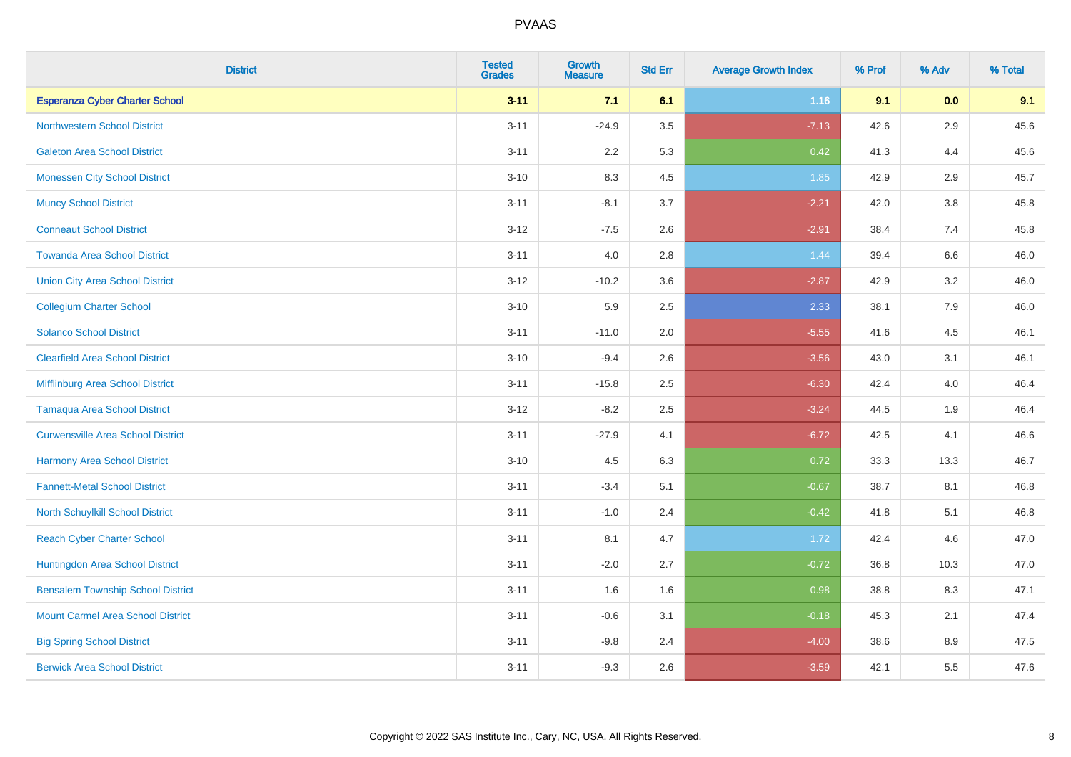| <b>District</b>                          | <b>Tested</b><br><b>Grades</b> | <b>Growth</b><br><b>Measure</b> | <b>Std Err</b> | <b>Average Growth Index</b> | % Prof | % Adv   | % Total |
|------------------------------------------|--------------------------------|---------------------------------|----------------|-----------------------------|--------|---------|---------|
| <b>Esperanza Cyber Charter School</b>    | $3 - 11$                       | 7.1                             | 6.1            | 1.16                        | 9.1    | 0.0     | 9.1     |
| <b>Northwestern School District</b>      | $3 - 11$                       | $-24.9$                         | 3.5            | $-7.13$                     | 42.6   | $2.9\,$ | 45.6    |
| <b>Galeton Area School District</b>      | $3 - 11$                       | 2.2                             | 5.3            | 0.42                        | 41.3   | 4.4     | 45.6    |
| <b>Monessen City School District</b>     | $3 - 10$                       | 8.3                             | 4.5            | 1.85                        | 42.9   | 2.9     | 45.7    |
| <b>Muncy School District</b>             | $3 - 11$                       | $-8.1$                          | 3.7            | $-2.21$                     | 42.0   | 3.8     | 45.8    |
| <b>Conneaut School District</b>          | $3 - 12$                       | $-7.5$                          | 2.6            | $-2.91$                     | 38.4   | 7.4     | 45.8    |
| <b>Towanda Area School District</b>      | $3 - 11$                       | 4.0                             | 2.8            | 1.44                        | 39.4   | 6.6     | 46.0    |
| <b>Union City Area School District</b>   | $3 - 12$                       | $-10.2$                         | 3.6            | $-2.87$                     | 42.9   | 3.2     | 46.0    |
| <b>Collegium Charter School</b>          | $3 - 10$                       | 5.9                             | 2.5            | 2.33                        | 38.1   | 7.9     | 46.0    |
| <b>Solanco School District</b>           | $3 - 11$                       | $-11.0$                         | 2.0            | $-5.55$                     | 41.6   | 4.5     | 46.1    |
| <b>Clearfield Area School District</b>   | $3 - 10$                       | $-9.4$                          | 2.6            | $-3.56$                     | 43.0   | 3.1     | 46.1    |
| Mifflinburg Area School District         | $3 - 11$                       | $-15.8$                         | 2.5            | $-6.30$                     | 42.4   | 4.0     | 46.4    |
| <b>Tamaqua Area School District</b>      | $3 - 12$                       | $-8.2$                          | 2.5            | $-3.24$                     | 44.5   | $1.9$   | 46.4    |
| <b>Curwensville Area School District</b> | $3 - 11$                       | $-27.9$                         | 4.1            | $-6.72$                     | 42.5   | 4.1     | 46.6    |
| Harmony Area School District             | $3 - 10$                       | 4.5                             | 6.3            | 0.72                        | 33.3   | 13.3    | 46.7    |
| <b>Fannett-Metal School District</b>     | $3 - 11$                       | $-3.4$                          | 5.1            | $-0.67$                     | 38.7   | 8.1     | 46.8    |
| North Schuylkill School District         | $3 - 11$                       | $-1.0$                          | 2.4            | $-0.42$                     | 41.8   | 5.1     | 46.8    |
| <b>Reach Cyber Charter School</b>        | $3 - 11$                       | 8.1                             | 4.7            | 1.72                        | 42.4   | 4.6     | 47.0    |
| Huntingdon Area School District          | $3 - 11$                       | $-2.0$                          | 2.7            | $-0.72$                     | 36.8   | 10.3    | 47.0    |
| <b>Bensalem Township School District</b> | $3 - 11$                       | 1.6                             | 1.6            | 0.98                        | 38.8   | 8.3     | 47.1    |
| <b>Mount Carmel Area School District</b> | $3 - 11$                       | $-0.6$                          | 3.1            | $-0.18$                     | 45.3   | 2.1     | 47.4    |
| <b>Big Spring School District</b>        | $3 - 11$                       | $-9.8$                          | 2.4            | $-4.00$                     | 38.6   | 8.9     | 47.5    |
| <b>Berwick Area School District</b>      | $3 - 11$                       | $-9.3$                          | 2.6            | $-3.59$                     | 42.1   | 5.5     | 47.6    |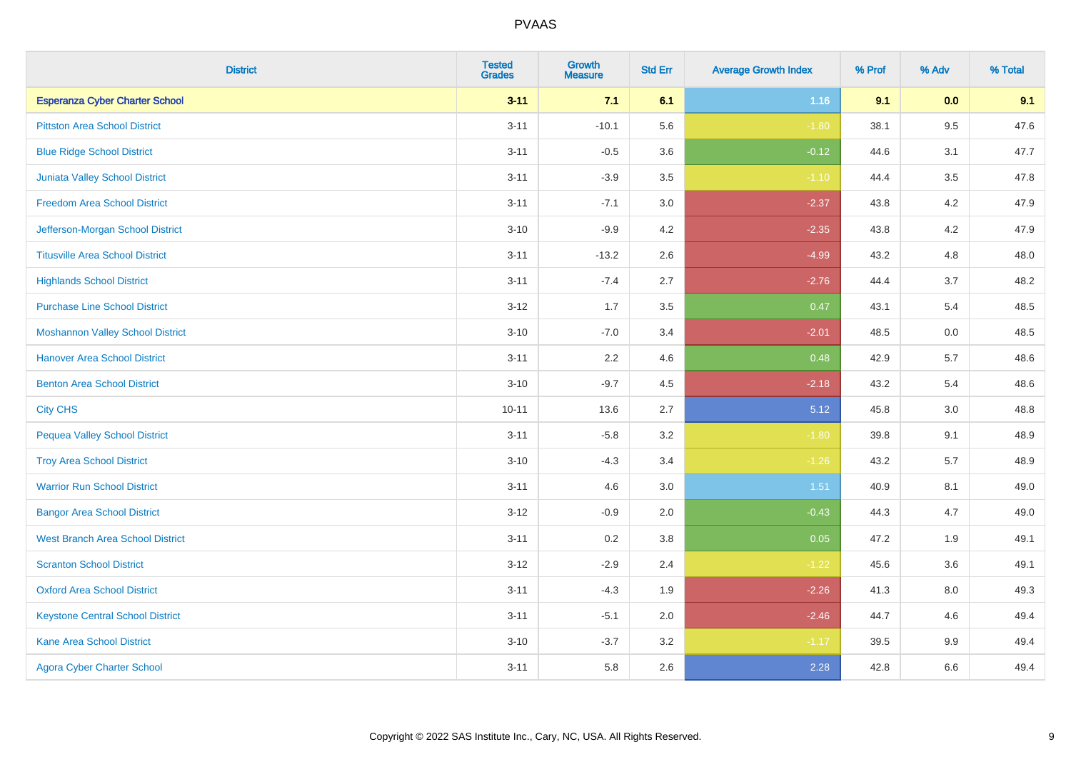| <b>District</b>                         | <b>Tested</b><br><b>Grades</b> | <b>Growth</b><br><b>Measure</b> | <b>Std Err</b> | <b>Average Growth Index</b> | % Prof | % Adv   | % Total |
|-----------------------------------------|--------------------------------|---------------------------------|----------------|-----------------------------|--------|---------|---------|
| <b>Esperanza Cyber Charter School</b>   | $3 - 11$                       | 7.1                             | 6.1            | 1.16                        | 9.1    | 0.0     | 9.1     |
| <b>Pittston Area School District</b>    | $3 - 11$                       | $-10.1$                         | 5.6            | $-1.80$                     | 38.1   | $9.5\,$ | 47.6    |
| <b>Blue Ridge School District</b>       | $3 - 11$                       | $-0.5$                          | 3.6            | $-0.12$                     | 44.6   | 3.1     | 47.7    |
| Juniata Valley School District          | $3 - 11$                       | $-3.9$                          | 3.5            | $-1.10$                     | 44.4   | 3.5     | 47.8    |
| <b>Freedom Area School District</b>     | $3 - 11$                       | $-7.1$                          | 3.0            | $-2.37$                     | 43.8   | 4.2     | 47.9    |
| Jefferson-Morgan School District        | $3 - 10$                       | $-9.9$                          | 4.2            | $-2.35$                     | 43.8   | 4.2     | 47.9    |
| <b>Titusville Area School District</b>  | $3 - 11$                       | $-13.2$                         | 2.6            | $-4.99$                     | 43.2   | 4.8     | 48.0    |
| <b>Highlands School District</b>        | $3 - 11$                       | $-7.4$                          | 2.7            | $-2.76$                     | 44.4   | 3.7     | 48.2    |
| <b>Purchase Line School District</b>    | $3 - 12$                       | 1.7                             | 3.5            | 0.47                        | 43.1   | 5.4     | 48.5    |
| <b>Moshannon Valley School District</b> | $3 - 10$                       | $-7.0$                          | 3.4            | $-2.01$                     | 48.5   | 0.0     | 48.5    |
| <b>Hanover Area School District</b>     | $3 - 11$                       | 2.2                             | 4.6            | 0.48                        | 42.9   | 5.7     | 48.6    |
| <b>Benton Area School District</b>      | $3 - 10$                       | $-9.7$                          | 4.5            | $-2.18$                     | 43.2   | 5.4     | 48.6    |
| <b>City CHS</b>                         | $10 - 11$                      | 13.6                            | 2.7            | 5.12                        | 45.8   | 3.0     | 48.8    |
| <b>Pequea Valley School District</b>    | $3 - 11$                       | $-5.8$                          | 3.2            | $-1.80$                     | 39.8   | 9.1     | 48.9    |
| <b>Troy Area School District</b>        | $3 - 10$                       | $-4.3$                          | 3.4            | $-1.26$                     | 43.2   | 5.7     | 48.9    |
| <b>Warrior Run School District</b>      | $3 - 11$                       | 4.6                             | 3.0            | 1.51                        | 40.9   | 8.1     | 49.0    |
| <b>Bangor Area School District</b>      | $3-12$                         | $-0.9$                          | 2.0            | $-0.43$                     | 44.3   | 4.7     | 49.0    |
| <b>West Branch Area School District</b> | $3 - 11$                       | 0.2                             | 3.8            | 0.05                        | 47.2   | 1.9     | 49.1    |
| <b>Scranton School District</b>         | $3 - 12$                       | $-2.9$                          | 2.4            | $-1.22$                     | 45.6   | 3.6     | 49.1    |
| <b>Oxford Area School District</b>      | $3 - 11$                       | $-4.3$                          | 1.9            | $-2.26$                     | 41.3   | 8.0     | 49.3    |
| <b>Keystone Central School District</b> | $3 - 11$                       | $-5.1$                          | 2.0            | $-2.46$                     | 44.7   | 4.6     | 49.4    |
| <b>Kane Area School District</b>        | $3 - 10$                       | $-3.7$                          | 3.2            | $-1.17$                     | 39.5   | 9.9     | 49.4    |
| <b>Agora Cyber Charter School</b>       | $3 - 11$                       | 5.8                             | 2.6            | 2.28                        | 42.8   | 6.6     | 49.4    |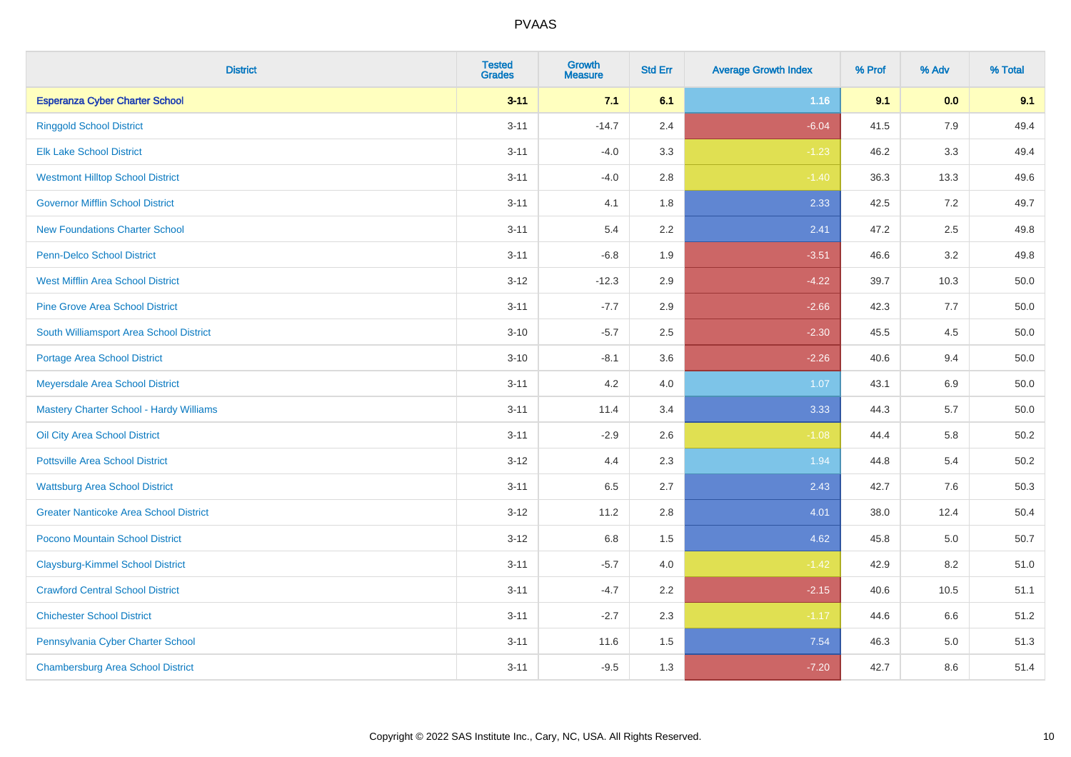| <b>District</b>                               | <b>Tested</b><br><b>Grades</b> | <b>Growth</b><br><b>Measure</b> | <b>Std Err</b> | <b>Average Growth Index</b> | % Prof | % Adv | % Total  |
|-----------------------------------------------|--------------------------------|---------------------------------|----------------|-----------------------------|--------|-------|----------|
| <b>Esperanza Cyber Charter School</b>         | $3 - 11$                       | 7.1                             | 6.1            | 1.16                        | 9.1    | 0.0   | 9.1      |
| <b>Ringgold School District</b>               | $3 - 11$                       | $-14.7$                         | 2.4            | $-6.04$                     | 41.5   | 7.9   | 49.4     |
| <b>Elk Lake School District</b>               | $3 - 11$                       | $-4.0$                          | 3.3            | $-1.23$                     | 46.2   | 3.3   | 49.4     |
| <b>Westmont Hilltop School District</b>       | $3 - 11$                       | $-4.0$                          | 2.8            | $-1.40$                     | 36.3   | 13.3  | 49.6     |
| <b>Governor Mifflin School District</b>       | $3 - 11$                       | 4.1                             | 1.8            | 2.33                        | 42.5   | 7.2   | 49.7     |
| <b>New Foundations Charter School</b>         | $3 - 11$                       | 5.4                             | 2.2            | 2.41                        | 47.2   | 2.5   | 49.8     |
| Penn-Delco School District                    | $3 - 11$                       | $-6.8$                          | 1.9            | $-3.51$                     | 46.6   | 3.2   | 49.8     |
| <b>West Mifflin Area School District</b>      | $3 - 12$                       | $-12.3$                         | 2.9            | $-4.22$                     | 39.7   | 10.3  | 50.0     |
| <b>Pine Grove Area School District</b>        | $3 - 11$                       | $-7.7$                          | 2.9            | $-2.66$                     | 42.3   | 7.7   | 50.0     |
| South Williamsport Area School District       | $3 - 10$                       | $-5.7$                          | 2.5            | $-2.30$                     | 45.5   | 4.5   | $50.0\,$ |
| <b>Portage Area School District</b>           | $3 - 10$                       | $-8.1$                          | 3.6            | $-2.26$                     | 40.6   | 9.4   | 50.0     |
| Meyersdale Area School District               | $3 - 11$                       | 4.2                             | 4.0            | 1.07                        | 43.1   | 6.9   | 50.0     |
| Mastery Charter School - Hardy Williams       | $3 - 11$                       | 11.4                            | 3.4            | 3.33                        | 44.3   | 5.7   | 50.0     |
| Oil City Area School District                 | $3 - 11$                       | $-2.9$                          | 2.6            | $-1.08$                     | 44.4   | 5.8   | 50.2     |
| <b>Pottsville Area School District</b>        | $3 - 12$                       | 4.4                             | 2.3            | 1.94                        | 44.8   | 5.4   | $50.2\,$ |
| <b>Wattsburg Area School District</b>         | $3 - 11$                       | 6.5                             | 2.7            | 2.43                        | 42.7   | 7.6   | 50.3     |
| <b>Greater Nanticoke Area School District</b> | $3 - 12$                       | 11.2                            | 2.8            | 4.01                        | 38.0   | 12.4  | 50.4     |
| Pocono Mountain School District               | $3 - 12$                       | 6.8                             | 1.5            | 4.62                        | 45.8   | 5.0   | 50.7     |
| <b>Claysburg-Kimmel School District</b>       | $3 - 11$                       | $-5.7$                          | 4.0            | $-1.42$                     | 42.9   | 8.2   | 51.0     |
| <b>Crawford Central School District</b>       | $3 - 11$                       | $-4.7$                          | 2.2            | $-2.15$                     | 40.6   | 10.5  | 51.1     |
| <b>Chichester School District</b>             | $3 - 11$                       | $-2.7$                          | 2.3            | $-1.17$                     | 44.6   | 6.6   | 51.2     |
| Pennsylvania Cyber Charter School             | $3 - 11$                       | 11.6                            | 1.5            | 7.54                        | 46.3   | 5.0   | 51.3     |
| <b>Chambersburg Area School District</b>      | $3 - 11$                       | $-9.5$                          | 1.3            | $-7.20$                     | 42.7   | 8.6   | 51.4     |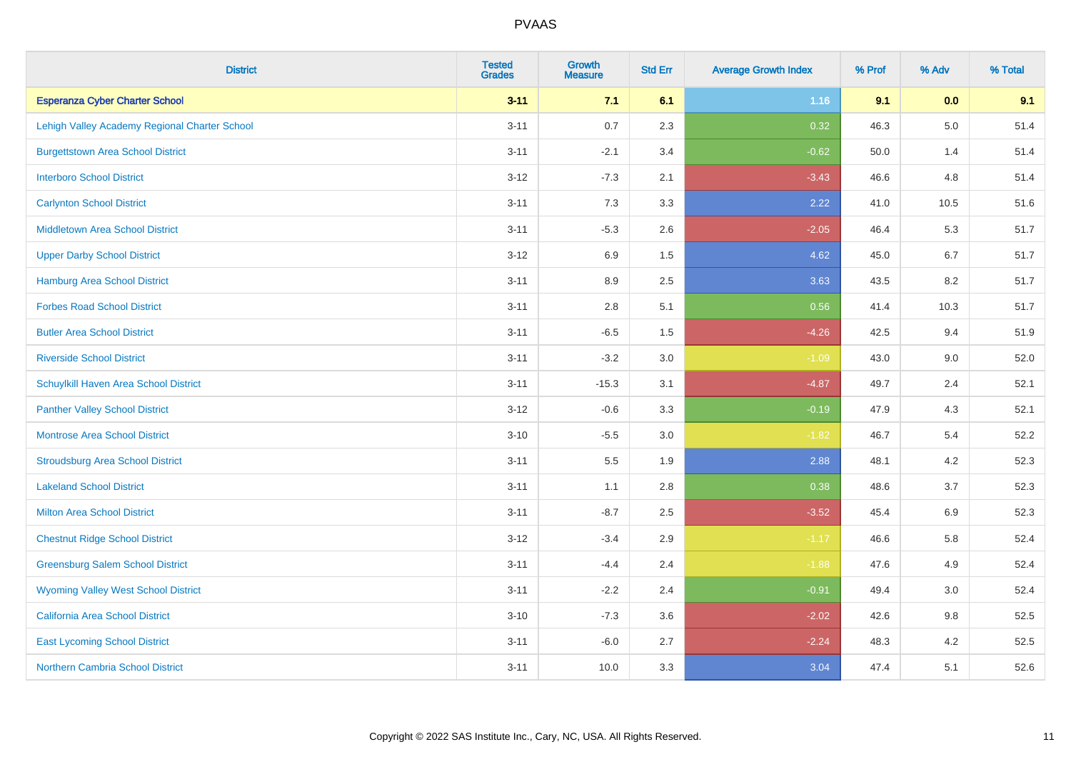| <b>District</b>                               | <b>Tested</b><br><b>Grades</b> | <b>Growth</b><br><b>Measure</b> | <b>Std Err</b> | <b>Average Growth Index</b> | % Prof | % Adv   | % Total |
|-----------------------------------------------|--------------------------------|---------------------------------|----------------|-----------------------------|--------|---------|---------|
| <b>Esperanza Cyber Charter School</b>         | $3 - 11$                       | 7.1                             | 6.1            | 1.16                        | 9.1    | 0.0     | 9.1     |
| Lehigh Valley Academy Regional Charter School | $3 - 11$                       | 0.7                             | 2.3            | 0.32                        | 46.3   | $5.0\,$ | 51.4    |
| <b>Burgettstown Area School District</b>      | $3 - 11$                       | $-2.1$                          | 3.4            | $-0.62$                     | 50.0   | 1.4     | 51.4    |
| <b>Interboro School District</b>              | $3 - 12$                       | $-7.3$                          | 2.1            | $-3.43$                     | 46.6   | 4.8     | 51.4    |
| <b>Carlynton School District</b>              | $3 - 11$                       | 7.3                             | 3.3            | 2.22                        | 41.0   | 10.5    | 51.6    |
| <b>Middletown Area School District</b>        | $3 - 11$                       | $-5.3$                          | 2.6            | $-2.05$                     | 46.4   | 5.3     | 51.7    |
| <b>Upper Darby School District</b>            | $3 - 12$                       | 6.9                             | 1.5            | 4.62                        | 45.0   | 6.7     | 51.7    |
| <b>Hamburg Area School District</b>           | $3 - 11$                       | 8.9                             | 2.5            | 3.63                        | 43.5   | 8.2     | 51.7    |
| <b>Forbes Road School District</b>            | $3 - 11$                       | 2.8                             | 5.1            | 0.56                        | 41.4   | 10.3    | 51.7    |
| <b>Butler Area School District</b>            | $3 - 11$                       | $-6.5$                          | $1.5$          | $-4.26$                     | 42.5   | 9.4     | 51.9    |
| <b>Riverside School District</b>              | $3 - 11$                       | $-3.2$                          | 3.0            | $-1.09$                     | 43.0   | 9.0     | 52.0    |
| Schuylkill Haven Area School District         | $3 - 11$                       | $-15.3$                         | 3.1            | $-4.87$                     | 49.7   | 2.4     | 52.1    |
| <b>Panther Valley School District</b>         | $3 - 12$                       | $-0.6$                          | 3.3            | $-0.19$                     | 47.9   | 4.3     | 52.1    |
| <b>Montrose Area School District</b>          | $3 - 10$                       | $-5.5$                          | 3.0            | $-1.82$                     | 46.7   | 5.4     | 52.2    |
| <b>Stroudsburg Area School District</b>       | $3 - 11$                       | 5.5                             | 1.9            | 2.88                        | 48.1   | 4.2     | 52.3    |
| <b>Lakeland School District</b>               | $3 - 11$                       | 1.1                             | 2.8            | 0.38                        | 48.6   | 3.7     | 52.3    |
| <b>Milton Area School District</b>            | $3 - 11$                       | $-8.7$                          | 2.5            | $-3.52$                     | 45.4   | $6.9\,$ | 52.3    |
| <b>Chestnut Ridge School District</b>         | $3 - 12$                       | $-3.4$                          | 2.9            | $-1.17$                     | 46.6   | 5.8     | 52.4    |
| <b>Greensburg Salem School District</b>       | $3 - 11$                       | $-4.4$                          | 2.4            | $-1.88$                     | 47.6   | 4.9     | 52.4    |
| <b>Wyoming Valley West School District</b>    | $3 - 11$                       | $-2.2$                          | 2.4            | $-0.91$                     | 49.4   | 3.0     | 52.4    |
| <b>California Area School District</b>        | $3 - 10$                       | $-7.3$                          | 3.6            | $-2.02$                     | 42.6   | 9.8     | 52.5    |
| <b>East Lycoming School District</b>          | $3 - 11$                       | $-6.0$                          | 2.7            | $-2.24$                     | 48.3   | 4.2     | 52.5    |
| <b>Northern Cambria School District</b>       | $3 - 11$                       | 10.0                            | 3.3            | 3.04                        | 47.4   | 5.1     | 52.6    |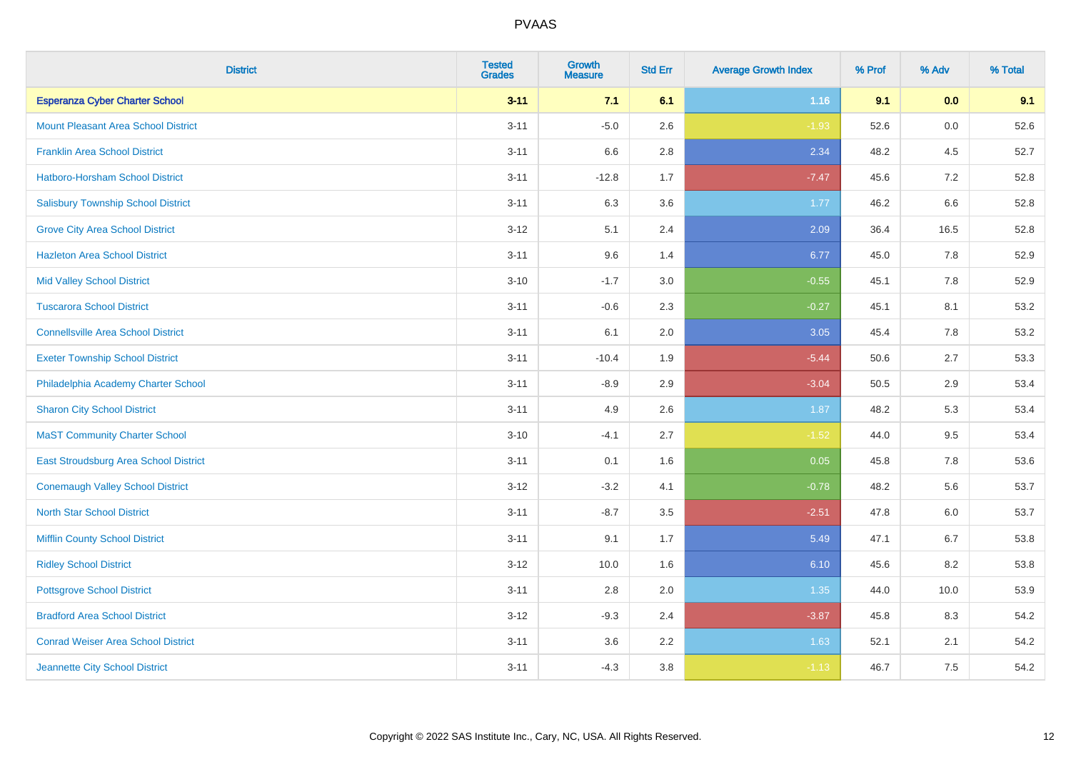| <b>District</b>                              | <b>Tested</b><br><b>Grades</b> | <b>Growth</b><br><b>Measure</b> | <b>Std Err</b> | <b>Average Growth Index</b> | % Prof | % Adv | % Total |
|----------------------------------------------|--------------------------------|---------------------------------|----------------|-----------------------------|--------|-------|---------|
| <b>Esperanza Cyber Charter School</b>        | $3 - 11$                       | 7.1                             | 6.1            | 1.16                        | 9.1    | 0.0   | 9.1     |
| <b>Mount Pleasant Area School District</b>   | $3 - 11$                       | $-5.0$                          | 2.6            | $-1.93$                     | 52.6   | 0.0   | 52.6    |
| <b>Franklin Area School District</b>         | $3 - 11$                       | 6.6                             | 2.8            | 2.34                        | 48.2   | 4.5   | 52.7    |
| Hatboro-Horsham School District              | $3 - 11$                       | $-12.8$                         | 1.7            | $-7.47$                     | 45.6   | 7.2   | 52.8    |
| <b>Salisbury Township School District</b>    | $3 - 11$                       | 6.3                             | 3.6            | 1.77                        | 46.2   | 6.6   | 52.8    |
| <b>Grove City Area School District</b>       | $3 - 12$                       | 5.1                             | 2.4            | 2.09                        | 36.4   | 16.5  | 52.8    |
| <b>Hazleton Area School District</b>         | $3 - 11$                       | 9.6                             | 1.4            | 6.77                        | 45.0   | 7.8   | 52.9    |
| <b>Mid Valley School District</b>            | $3 - 10$                       | $-1.7$                          | 3.0            | $-0.55$                     | 45.1   | 7.8   | 52.9    |
| <b>Tuscarora School District</b>             | $3 - 11$                       | $-0.6$                          | 2.3            | $-0.27$                     | 45.1   | 8.1   | 53.2    |
| <b>Connellsville Area School District</b>    | $3 - 11$                       | 6.1                             | 2.0            | 3.05                        | 45.4   | 7.8   | 53.2    |
| <b>Exeter Township School District</b>       | $3 - 11$                       | $-10.4$                         | 1.9            | $-5.44$                     | 50.6   | 2.7   | 53.3    |
| Philadelphia Academy Charter School          | $3 - 11$                       | $-8.9$                          | 2.9            | $-3.04$                     | 50.5   | 2.9   | 53.4    |
| <b>Sharon City School District</b>           | $3 - 11$                       | 4.9                             | 2.6            | 1.87                        | 48.2   | 5.3   | 53.4    |
| <b>MaST Community Charter School</b>         | $3 - 10$                       | $-4.1$                          | 2.7            | $-1.52$                     | 44.0   | 9.5   | 53.4    |
| <b>East Stroudsburg Area School District</b> | $3 - 11$                       | 0.1                             | 1.6            | 0.05                        | 45.8   | 7.8   | 53.6    |
| <b>Conemaugh Valley School District</b>      | $3 - 12$                       | $-3.2$                          | 4.1            | $-0.78$                     | 48.2   | 5.6   | 53.7    |
| <b>North Star School District</b>            | $3 - 11$                       | $-8.7$                          | 3.5            | $-2.51$                     | 47.8   | 6.0   | 53.7    |
| <b>Mifflin County School District</b>        | $3 - 11$                       | 9.1                             | 1.7            | 5.49                        | 47.1   | 6.7   | 53.8    |
| <b>Ridley School District</b>                | $3 - 12$                       | 10.0                            | 1.6            | 6.10                        | 45.6   | 8.2   | 53.8    |
| <b>Pottsgrove School District</b>            | $3 - 11$                       | 2.8                             | 2.0            | 1.35                        | 44.0   | 10.0  | 53.9    |
| <b>Bradford Area School District</b>         | $3 - 12$                       | $-9.3$                          | 2.4            | $-3.87$                     | 45.8   | 8.3   | 54.2    |
| <b>Conrad Weiser Area School District</b>    | $3 - 11$                       | 3.6                             | 2.2            | 1.63                        | 52.1   | 2.1   | 54.2    |
| Jeannette City School District               | $3 - 11$                       | $-4.3$                          | 3.8            | $-1.13$                     | 46.7   | 7.5   | 54.2    |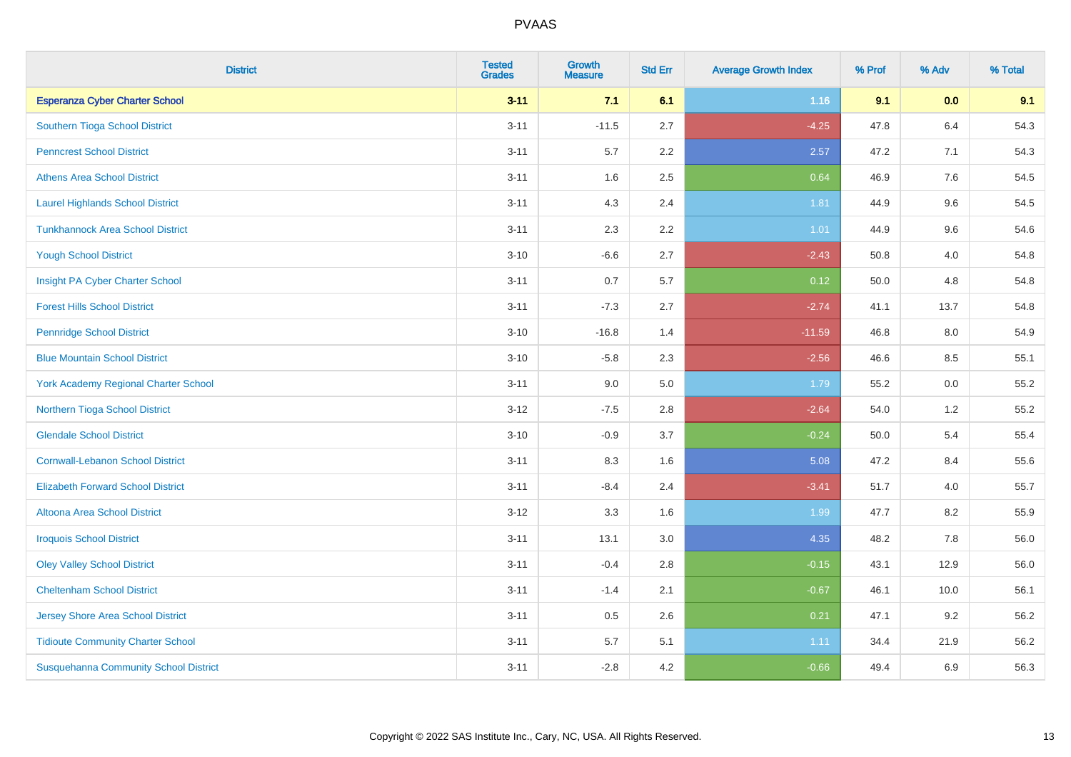| <b>District</b>                              | <b>Tested</b><br><b>Grades</b> | Growth<br><b>Measure</b> | <b>Std Err</b> | <b>Average Growth Index</b> | % Prof | % Adv | % Total |
|----------------------------------------------|--------------------------------|--------------------------|----------------|-----------------------------|--------|-------|---------|
| <b>Esperanza Cyber Charter School</b>        | $3 - 11$                       | 7.1                      | 6.1            | 1.16                        | 9.1    | 0.0   | 9.1     |
| Southern Tioga School District               | $3 - 11$                       | $-11.5$                  | 2.7            | $-4.25$                     | 47.8   | 6.4   | 54.3    |
| <b>Penncrest School District</b>             | $3 - 11$                       | 5.7                      | $2.2\,$        | 2.57                        | 47.2   | 7.1   | 54.3    |
| <b>Athens Area School District</b>           | $3 - 11$                       | 1.6                      | 2.5            | 0.64                        | 46.9   | 7.6   | 54.5    |
| <b>Laurel Highlands School District</b>      | $3 - 11$                       | 4.3                      | 2.4            | 1.81                        | 44.9   | 9.6   | 54.5    |
| <b>Tunkhannock Area School District</b>      | $3 - 11$                       | 2.3                      | $2.2\,$        | $1.01$                      | 44.9   | 9.6   | 54.6    |
| <b>Yough School District</b>                 | $3 - 10$                       | $-6.6$                   | 2.7            | $-2.43$                     | 50.8   | 4.0   | 54.8    |
| Insight PA Cyber Charter School              | $3 - 11$                       | 0.7                      | 5.7            | 0.12                        | 50.0   | 4.8   | 54.8    |
| <b>Forest Hills School District</b>          | $3 - 11$                       | $-7.3$                   | 2.7            | $-2.74$                     | 41.1   | 13.7  | 54.8    |
| <b>Pennridge School District</b>             | $3 - 10$                       | $-16.8$                  | 1.4            | $-11.59$                    | 46.8   | 8.0   | 54.9    |
| <b>Blue Mountain School District</b>         | $3 - 10$                       | $-5.8$                   | 2.3            | $-2.56$                     | 46.6   | 8.5   | 55.1    |
| <b>York Academy Regional Charter School</b>  | $3 - 11$                       | 9.0                      | 5.0            | 1.79                        | 55.2   | 0.0   | 55.2    |
| Northern Tioga School District               | $3-12$                         | $-7.5$                   | 2.8            | $-2.64$                     | 54.0   | 1.2   | 55.2    |
| <b>Glendale School District</b>              | $3 - 10$                       | $-0.9$                   | 3.7            | $-0.24$                     | 50.0   | 5.4   | 55.4    |
| <b>Cornwall-Lebanon School District</b>      | $3 - 11$                       | 8.3                      | 1.6            | 5.08                        | 47.2   | 8.4   | 55.6    |
| <b>Elizabeth Forward School District</b>     | $3 - 11$                       | $-8.4$                   | 2.4            | $-3.41$                     | 51.7   | 4.0   | 55.7    |
| <b>Altoona Area School District</b>          | $3 - 12$                       | 3.3                      | 1.6            | 1.99                        | 47.7   | 8.2   | 55.9    |
| <b>Iroquois School District</b>              | $3 - 11$                       | 13.1                     | 3.0            | 4.35                        | 48.2   | 7.8   | 56.0    |
| <b>Oley Valley School District</b>           | $3 - 11$                       | $-0.4$                   | 2.8            | $-0.15$                     | 43.1   | 12.9  | 56.0    |
| <b>Cheltenham School District</b>            | $3 - 11$                       | $-1.4$                   | 2.1            | $-0.67$                     | 46.1   | 10.0  | 56.1    |
| Jersey Shore Area School District            | $3 - 11$                       | 0.5                      | 2.6            | 0.21                        | 47.1   | 9.2   | 56.2    |
| <b>Tidioute Community Charter School</b>     | $3 - 11$                       | 5.7                      | 5.1            | 1.11                        | 34.4   | 21.9  | 56.2    |
| <b>Susquehanna Community School District</b> | $3 - 11$                       | $-2.8$                   | 4.2            | $-0.66$                     | 49.4   | 6.9   | 56.3    |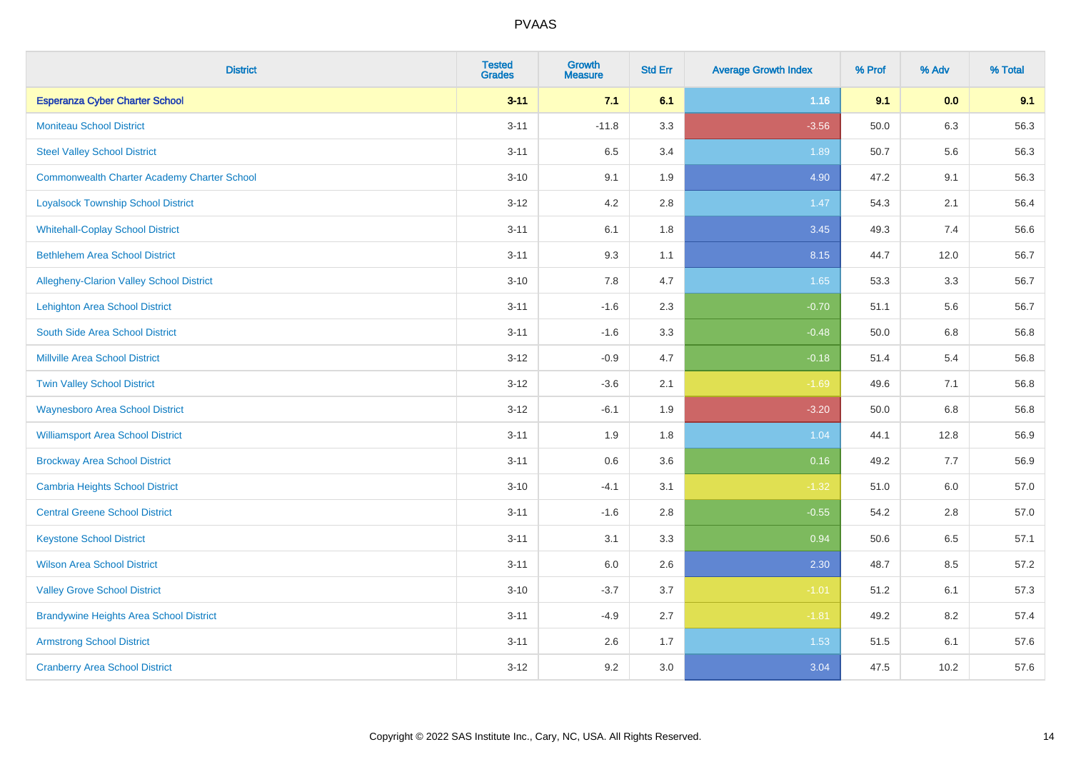| <b>District</b>                                    | <b>Tested</b><br><b>Grades</b> | <b>Growth</b><br><b>Measure</b> | <b>Std Err</b> | <b>Average Growth Index</b> | % Prof | % Adv | % Total |
|----------------------------------------------------|--------------------------------|---------------------------------|----------------|-----------------------------|--------|-------|---------|
| <b>Esperanza Cyber Charter School</b>              | $3 - 11$                       | 7.1                             | 6.1            | 1.16                        | 9.1    | 0.0   | 9.1     |
| <b>Moniteau School District</b>                    | $3 - 11$                       | $-11.8$                         | 3.3            | $-3.56$                     | 50.0   | 6.3   | 56.3    |
| <b>Steel Valley School District</b>                | $3 - 11$                       | 6.5                             | 3.4            | 1.89                        | 50.7   | 5.6   | 56.3    |
| <b>Commonwealth Charter Academy Charter School</b> | $3 - 10$                       | 9.1                             | 1.9            | 4.90                        | 47.2   | 9.1   | 56.3    |
| <b>Loyalsock Township School District</b>          | $3 - 12$                       | 4.2                             | 2.8            | 1.47                        | 54.3   | 2.1   | 56.4    |
| <b>Whitehall-Coplay School District</b>            | $3 - 11$                       | 6.1                             | 1.8            | 3.45                        | 49.3   | 7.4   | 56.6    |
| <b>Bethlehem Area School District</b>              | $3 - 11$                       | 9.3                             | 1.1            | 8.15                        | 44.7   | 12.0  | 56.7    |
| <b>Allegheny-Clarion Valley School District</b>    | $3 - 10$                       | 7.8                             | 4.7            | 1.65                        | 53.3   | 3.3   | 56.7    |
| <b>Lehighton Area School District</b>              | $3 - 11$                       | $-1.6$                          | 2.3            | $-0.70$                     | 51.1   | 5.6   | 56.7    |
| South Side Area School District                    | $3 - 11$                       | $-1.6$                          | 3.3            | $-0.48$                     | 50.0   | 6.8   | 56.8    |
| <b>Millville Area School District</b>              | $3 - 12$                       | $-0.9$                          | 4.7            | $-0.18$                     | 51.4   | 5.4   | 56.8    |
| <b>Twin Valley School District</b>                 | $3 - 12$                       | $-3.6$                          | 2.1            | $-1.69$                     | 49.6   | 7.1   | 56.8    |
| <b>Waynesboro Area School District</b>             | $3 - 12$                       | $-6.1$                          | 1.9            | $-3.20$                     | 50.0   | 6.8   | 56.8    |
| <b>Williamsport Area School District</b>           | $3 - 11$                       | 1.9                             | 1.8            | 1.04                        | 44.1   | 12.8  | 56.9    |
| <b>Brockway Area School District</b>               | $3 - 11$                       | $0.6\,$                         | 3.6            | 0.16                        | 49.2   | 7.7   | 56.9    |
| <b>Cambria Heights School District</b>             | $3 - 10$                       | $-4.1$                          | 3.1            | $-1.32$                     | 51.0   | 6.0   | 57.0    |
| <b>Central Greene School District</b>              | $3 - 11$                       | $-1.6$                          | 2.8            | $-0.55$                     | 54.2   | 2.8   | 57.0    |
| <b>Keystone School District</b>                    | $3 - 11$                       | 3.1                             | 3.3            | 0.94                        | 50.6   | 6.5   | 57.1    |
| <b>Wilson Area School District</b>                 | $3 - 11$                       | $6.0\,$                         | 2.6            | 2.30                        | 48.7   | 8.5   | 57.2    |
| <b>Valley Grove School District</b>                | $3 - 10$                       | $-3.7$                          | 3.7            | $-1.01$                     | 51.2   | 6.1   | 57.3    |
| <b>Brandywine Heights Area School District</b>     | $3 - 11$                       | $-4.9$                          | 2.7            | $-1.81$                     | 49.2   | 8.2   | 57.4    |
| <b>Armstrong School District</b>                   | $3 - 11$                       | 2.6                             | 1.7            | 1.53                        | 51.5   | 6.1   | 57.6    |
| <b>Cranberry Area School District</b>              | $3 - 12$                       | 9.2                             | 3.0            | 3.04                        | 47.5   | 10.2  | 57.6    |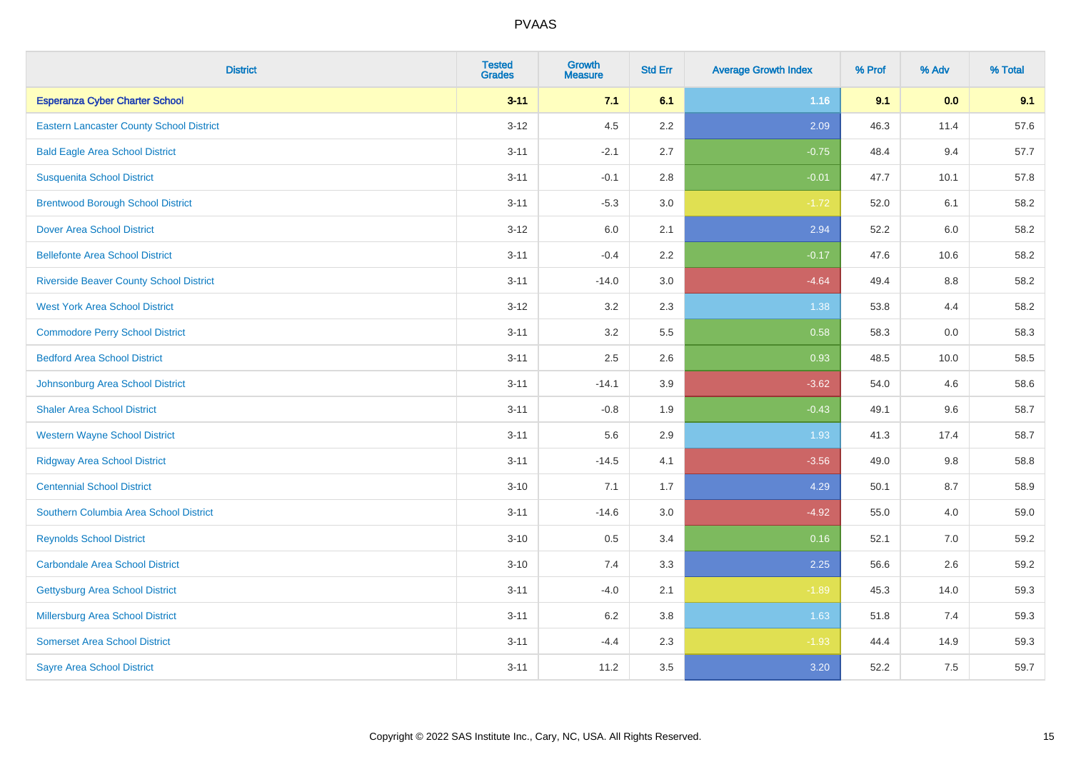| <b>District</b>                                 | <b>Tested</b><br><b>Grades</b> | <b>Growth</b><br><b>Measure</b> | <b>Std Err</b> | <b>Average Growth Index</b> | % Prof | % Adv | % Total |
|-------------------------------------------------|--------------------------------|---------------------------------|----------------|-----------------------------|--------|-------|---------|
| <b>Esperanza Cyber Charter School</b>           | $3 - 11$                       | 7.1                             | 6.1            | 1.16                        | 9.1    | 0.0   | 9.1     |
| <b>Eastern Lancaster County School District</b> | $3 - 12$                       | 4.5                             | 2.2            | 2.09                        | 46.3   | 11.4  | 57.6    |
| <b>Bald Eagle Area School District</b>          | $3 - 11$                       | $-2.1$                          | 2.7            | $-0.75$                     | 48.4   | 9.4   | 57.7    |
| <b>Susquenita School District</b>               | $3 - 11$                       | $-0.1$                          | 2.8            | $-0.01$                     | 47.7   | 10.1  | 57.8    |
| <b>Brentwood Borough School District</b>        | $3 - 11$                       | $-5.3$                          | 3.0            | $-1.72$                     | 52.0   | 6.1   | 58.2    |
| <b>Dover Area School District</b>               | $3 - 12$                       | 6.0                             | 2.1            | 2.94                        | 52.2   | 6.0   | 58.2    |
| <b>Bellefonte Area School District</b>          | $3 - 11$                       | $-0.4$                          | 2.2            | $-0.17$                     | 47.6   | 10.6  | 58.2    |
| <b>Riverside Beaver County School District</b>  | $3 - 11$                       | $-14.0$                         | 3.0            | $-4.64$                     | 49.4   | 8.8   | 58.2    |
| <b>West York Area School District</b>           | $3 - 12$                       | 3.2                             | 2.3            | 1.38                        | 53.8   | 4.4   | 58.2    |
| <b>Commodore Perry School District</b>          | $3 - 11$                       | 3.2                             | 5.5            | 0.58                        | 58.3   | 0.0   | 58.3    |
| <b>Bedford Area School District</b>             | $3 - 11$                       | 2.5                             | 2.6            | 0.93                        | 48.5   | 10.0  | 58.5    |
| Johnsonburg Area School District                | $3 - 11$                       | $-14.1$                         | 3.9            | $-3.62$                     | 54.0   | 4.6   | 58.6    |
| <b>Shaler Area School District</b>              | $3 - 11$                       | $-0.8$                          | 1.9            | $-0.43$                     | 49.1   | 9.6   | 58.7    |
| <b>Western Wayne School District</b>            | $3 - 11$                       | 5.6                             | 2.9            | 1.93                        | 41.3   | 17.4  | 58.7    |
| <b>Ridgway Area School District</b>             | $3 - 11$                       | $-14.5$                         | 4.1            | $-3.56$                     | 49.0   | 9.8   | 58.8    |
| <b>Centennial School District</b>               | $3 - 10$                       | 7.1                             | 1.7            | 4.29                        | 50.1   | 8.7   | 58.9    |
| Southern Columbia Area School District          | $3 - 11$                       | $-14.6$                         | 3.0            | $-4.92$                     | 55.0   | 4.0   | 59.0    |
| <b>Reynolds School District</b>                 | $3 - 10$                       | 0.5                             | 3.4            | 0.16                        | 52.1   | 7.0   | 59.2    |
| Carbondale Area School District                 | $3 - 10$                       | 7.4                             | 3.3            | 2.25                        | 56.6   | 2.6   | 59.2    |
| <b>Gettysburg Area School District</b>          | $3 - 11$                       | $-4.0$                          | 2.1            | $-1.89$                     | 45.3   | 14.0  | 59.3    |
| Millersburg Area School District                | $3 - 11$                       | $6.2\,$                         | 3.8            | 1.63                        | 51.8   | 7.4   | 59.3    |
| <b>Somerset Area School District</b>            | $3 - 11$                       | $-4.4$                          | 2.3            | $-1.93$                     | 44.4   | 14.9  | 59.3    |
| <b>Sayre Area School District</b>               | $3 - 11$                       | 11.2                            | 3.5            | 3.20                        | 52.2   | 7.5   | 59.7    |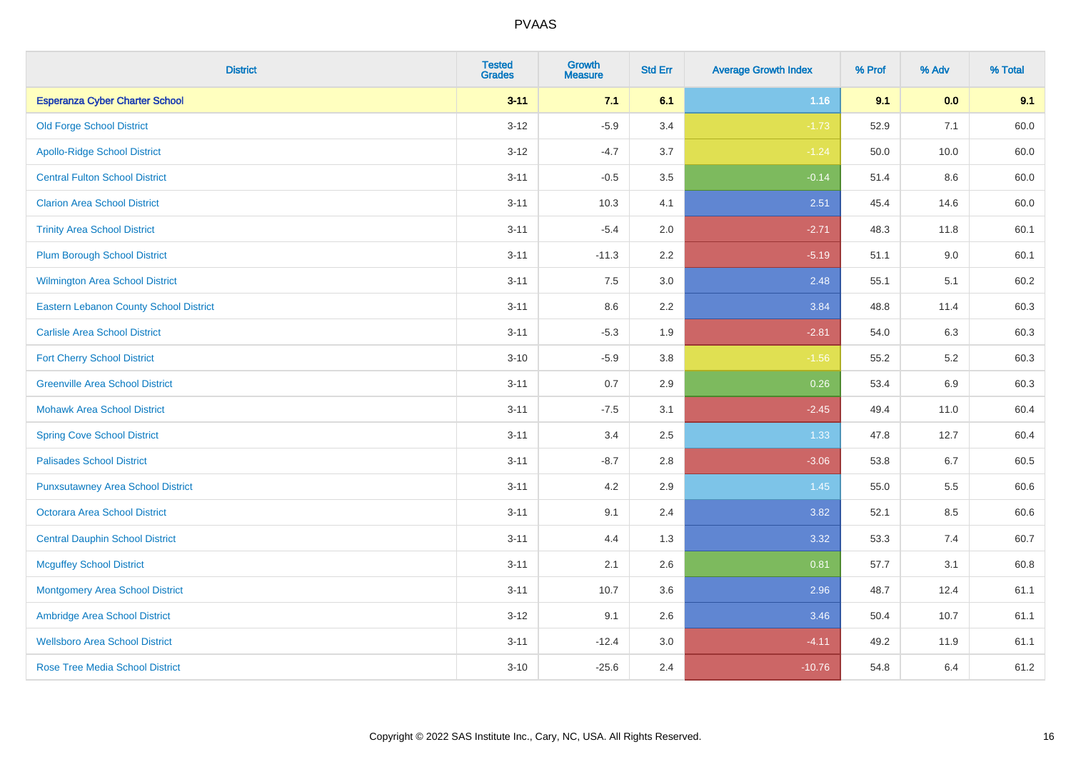| <b>District</b>                               | <b>Tested</b><br><b>Grades</b> | <b>Growth</b><br><b>Measure</b> | <b>Std Err</b> | <b>Average Growth Index</b> | % Prof | % Adv   | % Total |
|-----------------------------------------------|--------------------------------|---------------------------------|----------------|-----------------------------|--------|---------|---------|
| <b>Esperanza Cyber Charter School</b>         | $3 - 11$                       | 7.1                             | 6.1            | 1.16                        | 9.1    | 0.0     | 9.1     |
| <b>Old Forge School District</b>              | $3 - 12$                       | $-5.9$                          | 3.4            | $-1.73$                     | 52.9   | 7.1     | 60.0    |
| <b>Apollo-Ridge School District</b>           | $3 - 12$                       | $-4.7$                          | 3.7            | $-1.24$                     | 50.0   | 10.0    | 60.0    |
| <b>Central Fulton School District</b>         | $3 - 11$                       | $-0.5$                          | 3.5            | $-0.14$                     | 51.4   | $8.6\,$ | 60.0    |
| <b>Clarion Area School District</b>           | $3 - 11$                       | 10.3                            | 4.1            | 2.51                        | 45.4   | 14.6    | 60.0    |
| <b>Trinity Area School District</b>           | $3 - 11$                       | $-5.4$                          | 2.0            | $-2.71$                     | 48.3   | 11.8    | 60.1    |
| <b>Plum Borough School District</b>           | $3 - 11$                       | $-11.3$                         | 2.2            | $-5.19$                     | 51.1   | 9.0     | 60.1    |
| <b>Wilmington Area School District</b>        | $3 - 11$                       | 7.5                             | 3.0            | 2.48                        | 55.1   | 5.1     | 60.2    |
| <b>Eastern Lebanon County School District</b> | $3 - 11$                       | 8.6                             | 2.2            | 3.84                        | 48.8   | 11.4    | 60.3    |
| <b>Carlisle Area School District</b>          | $3 - 11$                       | $-5.3$                          | 1.9            | $-2.81$                     | 54.0   | 6.3     | 60.3    |
| <b>Fort Cherry School District</b>            | $3 - 10$                       | $-5.9$                          | 3.8            | $-1.56$                     | 55.2   | 5.2     | 60.3    |
| <b>Greenville Area School District</b>        | $3 - 11$                       | $0.7\,$                         | 2.9            | 0.26                        | 53.4   | $6.9\,$ | 60.3    |
| <b>Mohawk Area School District</b>            | $3 - 11$                       | $-7.5$                          | 3.1            | $-2.45$                     | 49.4   | 11.0    | 60.4    |
| <b>Spring Cove School District</b>            | $3 - 11$                       | 3.4                             | 2.5            | 1.33                        | 47.8   | 12.7    | 60.4    |
| <b>Palisades School District</b>              | $3 - 11$                       | $-8.7$                          | 2.8            | $-3.06$                     | 53.8   | 6.7     | 60.5    |
| <b>Punxsutawney Area School District</b>      | $3 - 11$                       | 4.2                             | 2.9            | 1.45                        | 55.0   | 5.5     | 60.6    |
| <b>Octorara Area School District</b>          | $3 - 11$                       | 9.1                             | 2.4            | 3.82                        | 52.1   | 8.5     | 60.6    |
| <b>Central Dauphin School District</b>        | $3 - 11$                       | 4.4                             | 1.3            | 3.32                        | 53.3   | 7.4     | 60.7    |
| <b>Mcguffey School District</b>               | $3 - 11$                       | 2.1                             | 2.6            | 0.81                        | 57.7   | 3.1     | 60.8    |
| <b>Montgomery Area School District</b>        | $3 - 11$                       | 10.7                            | 3.6            | 2.96                        | 48.7   | 12.4    | 61.1    |
| Ambridge Area School District                 | $3 - 12$                       | 9.1                             | 2.6            | 3.46                        | 50.4   | 10.7    | 61.1    |
| <b>Wellsboro Area School District</b>         | $3 - 11$                       | $-12.4$                         | 3.0            | $-4.11$                     | 49.2   | 11.9    | 61.1    |
| <b>Rose Tree Media School District</b>        | $3 - 10$                       | $-25.6$                         | 2.4            | $-10.76$                    | 54.8   | 6.4     | 61.2    |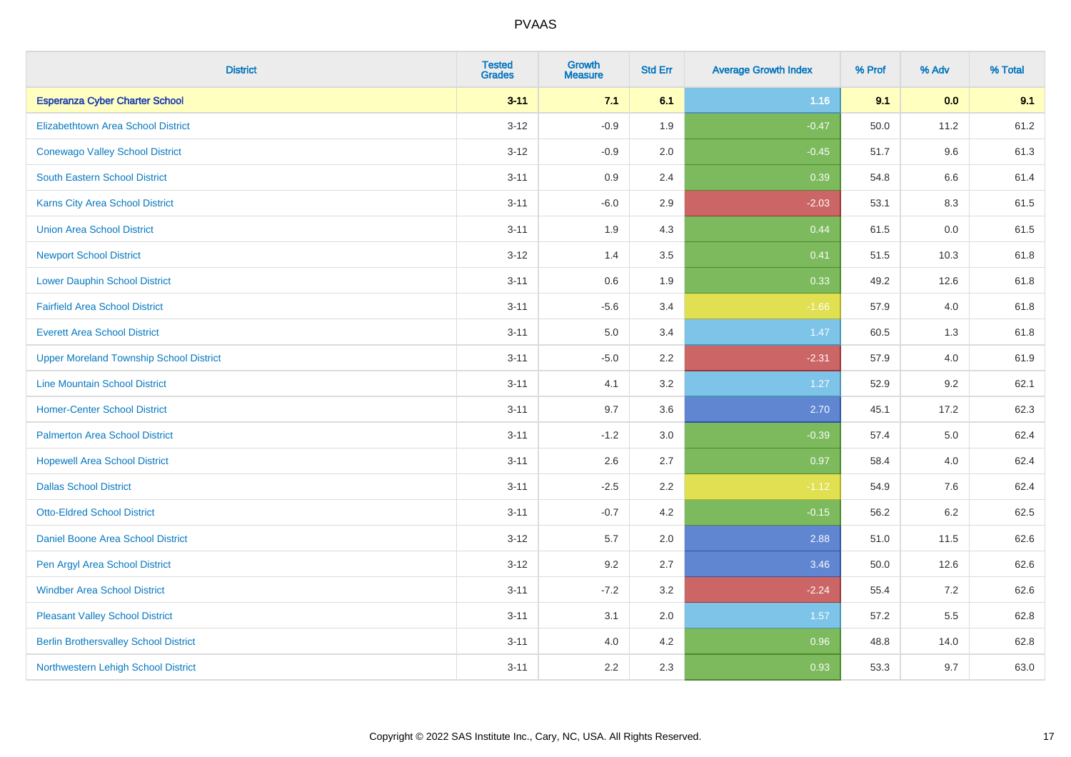| <b>District</b>                                | <b>Tested</b><br><b>Grades</b> | <b>Growth</b><br><b>Measure</b> | <b>Std Err</b> | <b>Average Growth Index</b> | % Prof | % Adv   | % Total |
|------------------------------------------------|--------------------------------|---------------------------------|----------------|-----------------------------|--------|---------|---------|
| <b>Esperanza Cyber Charter School</b>          | $3 - 11$                       | 7.1                             | 6.1            | 1.16                        | 9.1    | 0.0     | 9.1     |
| <b>Elizabethtown Area School District</b>      | $3 - 12$                       | $-0.9$                          | 1.9            | $-0.47$                     | 50.0   | 11.2    | 61.2    |
| <b>Conewago Valley School District</b>         | $3 - 12$                       | $-0.9$                          | 2.0            | $-0.45$                     | 51.7   | 9.6     | 61.3    |
| South Eastern School District                  | $3 - 11$                       | 0.9                             | 2.4            | 0.39                        | 54.8   | $6.6\,$ | 61.4    |
| <b>Karns City Area School District</b>         | $3 - 11$                       | $-6.0$                          | 2.9            | $-2.03$                     | 53.1   | 8.3     | 61.5    |
| <b>Union Area School District</b>              | $3 - 11$                       | 1.9                             | 4.3            | 0.44                        | 61.5   | 0.0     | 61.5    |
| <b>Newport School District</b>                 | $3 - 12$                       | 1.4                             | 3.5            | 0.41                        | 51.5   | 10.3    | 61.8    |
| <b>Lower Dauphin School District</b>           | $3 - 11$                       | 0.6                             | 1.9            | 0.33                        | 49.2   | 12.6    | 61.8    |
| <b>Fairfield Area School District</b>          | $3 - 11$                       | $-5.6$                          | 3.4            | $-1.66$                     | 57.9   | 4.0     | 61.8    |
| <b>Everett Area School District</b>            | $3 - 11$                       | 5.0                             | 3.4            | 1.47                        | 60.5   | 1.3     | 61.8    |
| <b>Upper Moreland Township School District</b> | $3 - 11$                       | $-5.0$                          | 2.2            | $-2.31$                     | 57.9   | 4.0     | 61.9    |
| <b>Line Mountain School District</b>           | $3 - 11$                       | 4.1                             | 3.2            | 1.27                        | 52.9   | 9.2     | 62.1    |
| <b>Homer-Center School District</b>            | $3 - 11$                       | 9.7                             | 3.6            | 2.70                        | 45.1   | 17.2    | 62.3    |
| <b>Palmerton Area School District</b>          | $3 - 11$                       | $-1.2$                          | 3.0            | $-0.39$                     | 57.4   | $5.0\,$ | 62.4    |
| <b>Hopewell Area School District</b>           | $3 - 11$                       | 2.6                             | 2.7            | 0.97                        | 58.4   | 4.0     | 62.4    |
| <b>Dallas School District</b>                  | $3 - 11$                       | $-2.5$                          | 2.2            | $-1.12$                     | 54.9   | 7.6     | 62.4    |
| <b>Otto-Eldred School District</b>             | $3 - 11$                       | $-0.7$                          | 4.2            | $-0.15$                     | 56.2   | $6.2\,$ | 62.5    |
| <b>Daniel Boone Area School District</b>       | $3 - 12$                       | 5.7                             | 2.0            | 2.88                        | 51.0   | 11.5    | 62.6    |
| Pen Argyl Area School District                 | $3 - 12$                       | 9.2                             | 2.7            | 3.46                        | 50.0   | 12.6    | 62.6    |
| <b>Windber Area School District</b>            | $3 - 11$                       | $-7.2$                          | 3.2            | $-2.24$                     | 55.4   | 7.2     | 62.6    |
| <b>Pleasant Valley School District</b>         | $3 - 11$                       | 3.1                             | 2.0            | 1.57                        | 57.2   | 5.5     | 62.8    |
| <b>Berlin Brothersvalley School District</b>   | $3 - 11$                       | 4.0                             | 4.2            | 0.96                        | 48.8   | 14.0    | 62.8    |
| Northwestern Lehigh School District            | $3 - 11$                       | 2.2                             | 2.3            | 0.93                        | 53.3   | 9.7     | 63.0    |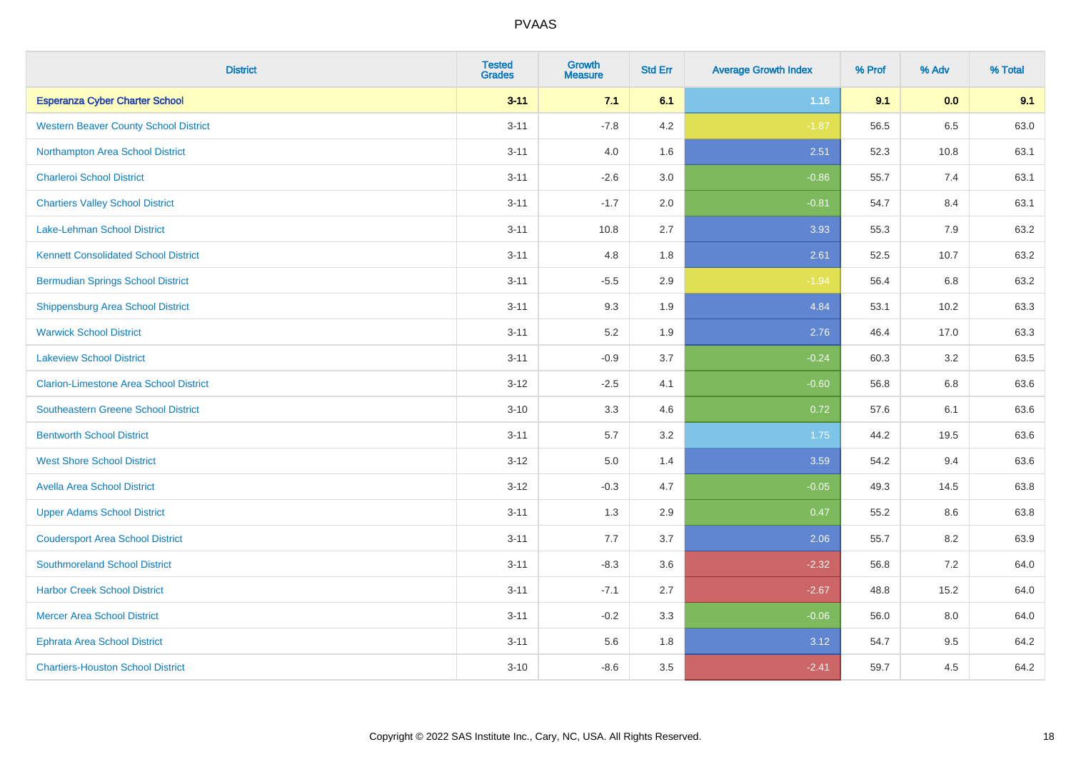| <b>District</b>                               | <b>Tested</b><br><b>Grades</b> | <b>Growth</b><br><b>Measure</b> | <b>Std Err</b> | <b>Average Growth Index</b> | % Prof | % Adv | % Total |
|-----------------------------------------------|--------------------------------|---------------------------------|----------------|-----------------------------|--------|-------|---------|
| <b>Esperanza Cyber Charter School</b>         | $3 - 11$                       | 7.1                             | 6.1            | 1.16                        | 9.1    | 0.0   | 9.1     |
| <b>Western Beaver County School District</b>  | $3 - 11$                       | $-7.8$                          | 4.2            | $-1.87$                     | 56.5   | 6.5   | 63.0    |
| Northampton Area School District              | $3 - 11$                       | 4.0                             | 1.6            | 2.51                        | 52.3   | 10.8  | 63.1    |
| <b>Charleroi School District</b>              | $3 - 11$                       | $-2.6$                          | 3.0            | $-0.86$                     | 55.7   | 7.4   | 63.1    |
| <b>Chartiers Valley School District</b>       | $3 - 11$                       | $-1.7$                          | 2.0            | $-0.81$                     | 54.7   | 8.4   | 63.1    |
| <b>Lake-Lehman School District</b>            | $3 - 11$                       | 10.8                            | 2.7            | 3.93                        | 55.3   | 7.9   | 63.2    |
| <b>Kennett Consolidated School District</b>   | $3 - 11$                       | 4.8                             | 1.8            | 2.61                        | 52.5   | 10.7  | 63.2    |
| <b>Bermudian Springs School District</b>      | $3 - 11$                       | $-5.5$                          | 2.9            | $-1.94$                     | 56.4   | 6.8   | 63.2    |
| <b>Shippensburg Area School District</b>      | $3 - 11$                       | 9.3                             | 1.9            | 4.84                        | 53.1   | 10.2  | 63.3    |
| <b>Warwick School District</b>                | $3 - 11$                       | 5.2                             | 1.9            | 2.76                        | 46.4   | 17.0  | 63.3    |
| <b>Lakeview School District</b>               | $3 - 11$                       | $-0.9$                          | 3.7            | $-0.24$                     | 60.3   | 3.2   | 63.5    |
| <b>Clarion-Limestone Area School District</b> | $3 - 12$                       | $-2.5$                          | 4.1            | $-0.60$                     | 56.8   | 6.8   | 63.6    |
| Southeastern Greene School District           | $3 - 10$                       | 3.3                             | 4.6            | 0.72                        | 57.6   | 6.1   | 63.6    |
| <b>Bentworth School District</b>              | $3 - 11$                       | 5.7                             | 3.2            | 1.75                        | 44.2   | 19.5  | 63.6    |
| <b>West Shore School District</b>             | $3 - 12$                       | 5.0                             | 1.4            | 3.59                        | 54.2   | 9.4   | 63.6    |
| <b>Avella Area School District</b>            | $3 - 12$                       | $-0.3$                          | 4.7            | $-0.05$                     | 49.3   | 14.5  | 63.8    |
| <b>Upper Adams School District</b>            | $3 - 11$                       | 1.3                             | 2.9            | 0.47                        | 55.2   | 8.6   | 63.8    |
| <b>Coudersport Area School District</b>       | $3 - 11$                       | 7.7                             | 3.7            | 2.06                        | 55.7   | 8.2   | 63.9    |
| <b>Southmoreland School District</b>          | $3 - 11$                       | $-8.3$                          | 3.6            | $-2.32$                     | 56.8   | 7.2   | 64.0    |
| <b>Harbor Creek School District</b>           | $3 - 11$                       | $-7.1$                          | 2.7            | $-2.67$                     | 48.8   | 15.2  | 64.0    |
| <b>Mercer Area School District</b>            | $3 - 11$                       | $-0.2$                          | 3.3            | $-0.06$                     | 56.0   | 8.0   | 64.0    |
| <b>Ephrata Area School District</b>           | $3 - 11$                       | 5.6                             | 1.8            | 3.12                        | 54.7   | 9.5   | 64.2    |
| <b>Chartiers-Houston School District</b>      | $3 - 10$                       | $-8.6$                          | 3.5            | $-2.41$                     | 59.7   | 4.5   | 64.2    |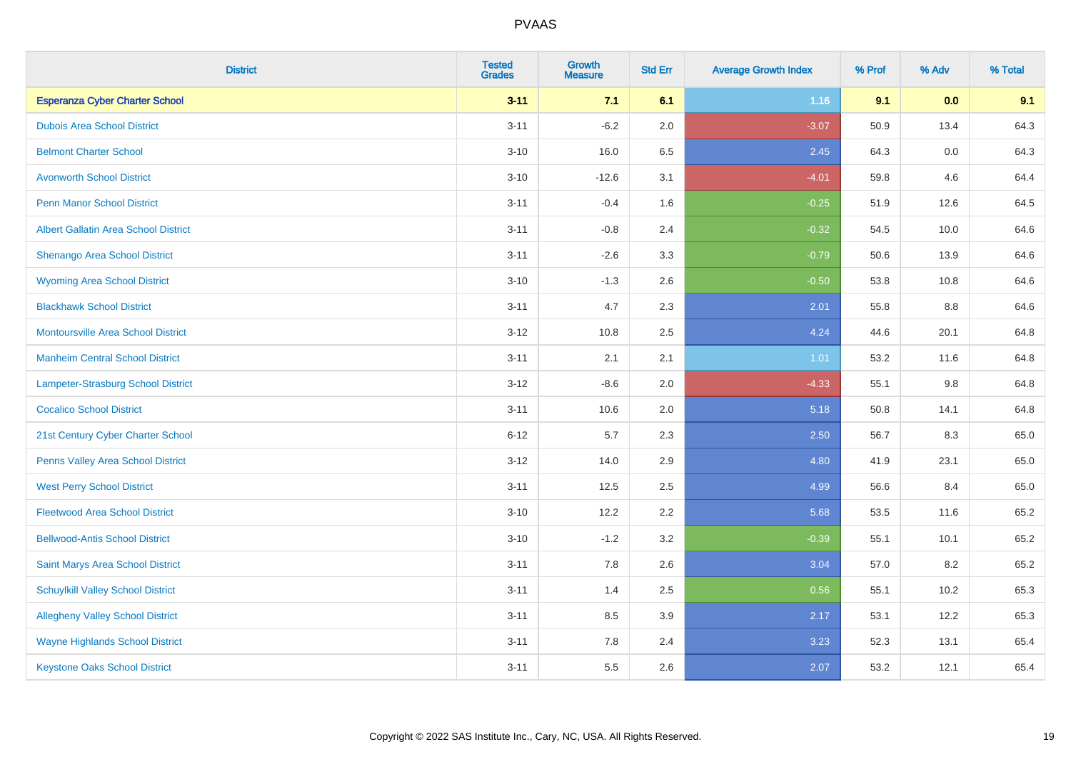| <b>District</b>                             | <b>Tested</b><br><b>Grades</b> | <b>Growth</b><br><b>Measure</b> | <b>Std Err</b> | <b>Average Growth Index</b> | % Prof | % Adv | % Total |
|---------------------------------------------|--------------------------------|---------------------------------|----------------|-----------------------------|--------|-------|---------|
| <b>Esperanza Cyber Charter School</b>       | $3 - 11$                       | 7.1                             | 6.1            | 1.16                        | 9.1    | 0.0   | 9.1     |
| <b>Dubois Area School District</b>          | $3 - 11$                       | $-6.2$                          | 2.0            | $-3.07$                     | 50.9   | 13.4  | 64.3    |
| <b>Belmont Charter School</b>               | $3 - 10$                       | 16.0                            | 6.5            | 2.45                        | 64.3   | 0.0   | 64.3    |
| <b>Avonworth School District</b>            | $3 - 10$                       | $-12.6$                         | 3.1            | $-4.01$                     | 59.8   | 4.6   | 64.4    |
| <b>Penn Manor School District</b>           | $3 - 11$                       | $-0.4$                          | 1.6            | $-0.25$                     | 51.9   | 12.6  | 64.5    |
| <b>Albert Gallatin Area School District</b> | $3 - 11$                       | $-0.8$                          | 2.4            | $-0.32$                     | 54.5   | 10.0  | 64.6    |
| Shenango Area School District               | $3 - 11$                       | $-2.6$                          | 3.3            | $-0.79$                     | 50.6   | 13.9  | 64.6    |
| <b>Wyoming Area School District</b>         | $3 - 10$                       | $-1.3$                          | 2.6            | $-0.50$                     | 53.8   | 10.8  | 64.6    |
| <b>Blackhawk School District</b>            | $3 - 11$                       | 4.7                             | 2.3            | 2.01                        | 55.8   | 8.8   | 64.6    |
| <b>Montoursville Area School District</b>   | $3 - 12$                       | 10.8                            | 2.5            | 4.24                        | 44.6   | 20.1  | 64.8    |
| <b>Manheim Central School District</b>      | $3 - 11$                       | 2.1                             | 2.1            | 1.01                        | 53.2   | 11.6  | 64.8    |
| Lampeter-Strasburg School District          | $3 - 12$                       | $-8.6$                          | 2.0            | $-4.33$                     | 55.1   | 9.8   | 64.8    |
| <b>Cocalico School District</b>             | $3 - 11$                       | 10.6                            | 2.0            | 5.18                        | 50.8   | 14.1  | 64.8    |
| 21st Century Cyber Charter School           | $6 - 12$                       | 5.7                             | 2.3            | 2.50                        | 56.7   | 8.3   | 65.0    |
| Penns Valley Area School District           | $3 - 12$                       | 14.0                            | 2.9            | 4.80                        | 41.9   | 23.1  | 65.0    |
| <b>West Perry School District</b>           | $3 - 11$                       | 12.5                            | 2.5            | 4.99                        | 56.6   | 8.4   | 65.0    |
| <b>Fleetwood Area School District</b>       | $3 - 10$                       | 12.2                            | 2.2            | 5.68                        | 53.5   | 11.6  | 65.2    |
| <b>Bellwood-Antis School District</b>       | $3 - 10$                       | $-1.2$                          | 3.2            | $-0.39$                     | 55.1   | 10.1  | 65.2    |
| Saint Marys Area School District            | $3 - 11$                       | 7.8                             | 2.6            | 3.04                        | 57.0   | 8.2   | 65.2    |
| <b>Schuylkill Valley School District</b>    | $3 - 11$                       | 1.4                             | 2.5            | 0.56                        | 55.1   | 10.2  | 65.3    |
| <b>Allegheny Valley School District</b>     | $3 - 11$                       | 8.5                             | 3.9            | 2.17                        | 53.1   | 12.2  | 65.3    |
| <b>Wayne Highlands School District</b>      | $3 - 11$                       | 7.8                             | 2.4            | 3.23                        | 52.3   | 13.1  | 65.4    |
| <b>Keystone Oaks School District</b>        | $3 - 11$                       | 5.5                             | 2.6            | 2.07                        | 53.2   | 12.1  | 65.4    |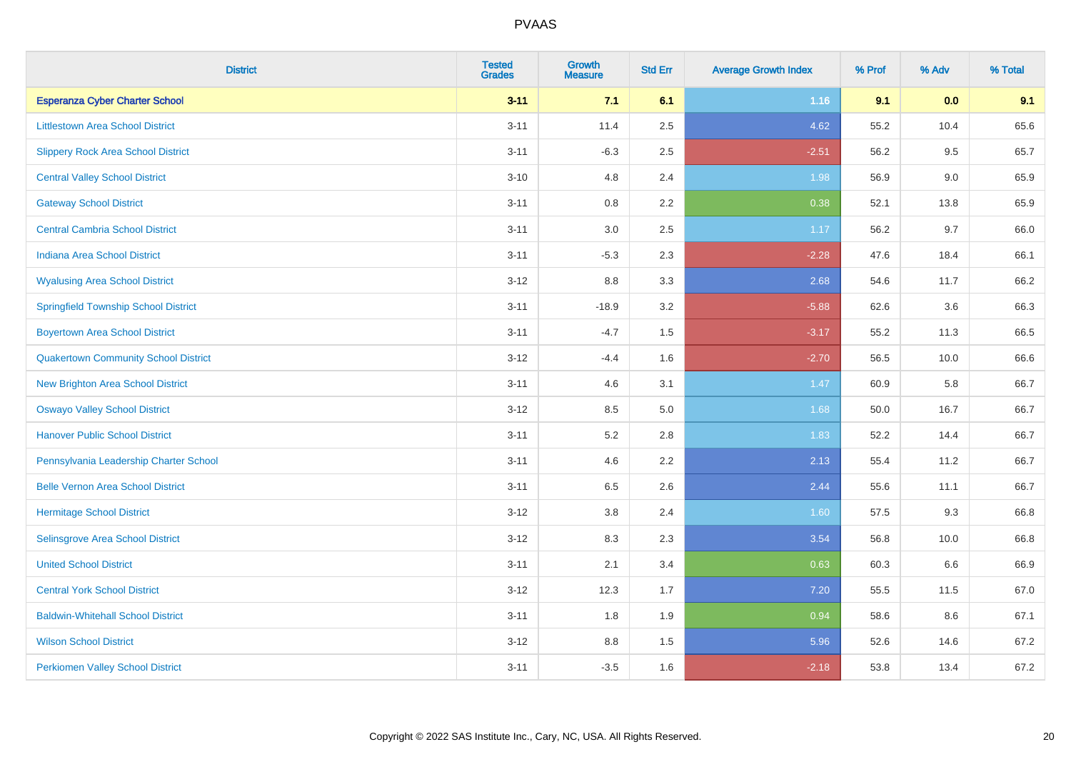| <b>District</b>                             | <b>Tested</b><br><b>Grades</b> | <b>Growth</b><br><b>Measure</b> | <b>Std Err</b> | <b>Average Growth Index</b> | % Prof | % Adv | % Total |
|---------------------------------------------|--------------------------------|---------------------------------|----------------|-----------------------------|--------|-------|---------|
| <b>Esperanza Cyber Charter School</b>       | $3 - 11$                       | 7.1                             | 6.1            | 1.16                        | 9.1    | 0.0   | 9.1     |
| <b>Littlestown Area School District</b>     | $3 - 11$                       | 11.4                            | 2.5            | 4.62                        | 55.2   | 10.4  | 65.6    |
| <b>Slippery Rock Area School District</b>   | $3 - 11$                       | $-6.3$                          | 2.5            | $-2.51$                     | 56.2   | 9.5   | 65.7    |
| <b>Central Valley School District</b>       | $3 - 10$                       | 4.8                             | 2.4            | 1.98                        | 56.9   | 9.0   | 65.9    |
| <b>Gateway School District</b>              | $3 - 11$                       | 0.8                             | 2.2            | 0.38                        | 52.1   | 13.8  | 65.9    |
| <b>Central Cambria School District</b>      | $3 - 11$                       | 3.0                             | 2.5            | 1.17                        | 56.2   | 9.7   | 66.0    |
| Indiana Area School District                | $3 - 11$                       | $-5.3$                          | 2.3            | $-2.28$                     | 47.6   | 18.4  | 66.1    |
| <b>Wyalusing Area School District</b>       | $3 - 12$                       | 8.8                             | 3.3            | 2.68                        | 54.6   | 11.7  | 66.2    |
| <b>Springfield Township School District</b> | $3 - 11$                       | $-18.9$                         | 3.2            | $-5.88$                     | 62.6   | 3.6   | 66.3    |
| <b>Boyertown Area School District</b>       | $3 - 11$                       | $-4.7$                          | 1.5            | $-3.17$                     | 55.2   | 11.3  | 66.5    |
| <b>Quakertown Community School District</b> | $3 - 12$                       | $-4.4$                          | 1.6            | $-2.70$                     | 56.5   | 10.0  | 66.6    |
| <b>New Brighton Area School District</b>    | $3 - 11$                       | 4.6                             | 3.1            | 1.47                        | 60.9   | 5.8   | 66.7    |
| <b>Oswayo Valley School District</b>        | $3 - 12$                       | 8.5                             | $5.0\,$        | 1.68                        | 50.0   | 16.7  | 66.7    |
| <b>Hanover Public School District</b>       | $3 - 11$                       | 5.2                             | 2.8            | 1.83                        | 52.2   | 14.4  | 66.7    |
| Pennsylvania Leadership Charter School      | $3 - 11$                       | 4.6                             | 2.2            | 2.13                        | 55.4   | 11.2  | 66.7    |
| <b>Belle Vernon Area School District</b>    | $3 - 11$                       | 6.5                             | 2.6            | 2.44                        | 55.6   | 11.1  | 66.7    |
| <b>Hermitage School District</b>            | $3 - 12$                       | $3.8\,$                         | 2.4            | 1.60                        | 57.5   | 9.3   | 66.8    |
| Selinsgrove Area School District            | $3 - 12$                       | 8.3                             | 2.3            | 3.54                        | 56.8   | 10.0  | 66.8    |
| <b>United School District</b>               | $3 - 11$                       | 2.1                             | 3.4            | 0.63                        | 60.3   | 6.6   | 66.9    |
| <b>Central York School District</b>         | $3 - 12$                       | 12.3                            | 1.7            | 7.20                        | 55.5   | 11.5  | 67.0    |
| <b>Baldwin-Whitehall School District</b>    | $3 - 11$                       | 1.8                             | 1.9            | 0.94                        | 58.6   | 8.6   | 67.1    |
| <b>Wilson School District</b>               | $3 - 12$                       | 8.8                             | 1.5            | 5.96                        | 52.6   | 14.6  | 67.2    |
| <b>Perkiomen Valley School District</b>     | $3 - 11$                       | $-3.5$                          | 1.6            | $-2.18$                     | 53.8   | 13.4  | 67.2    |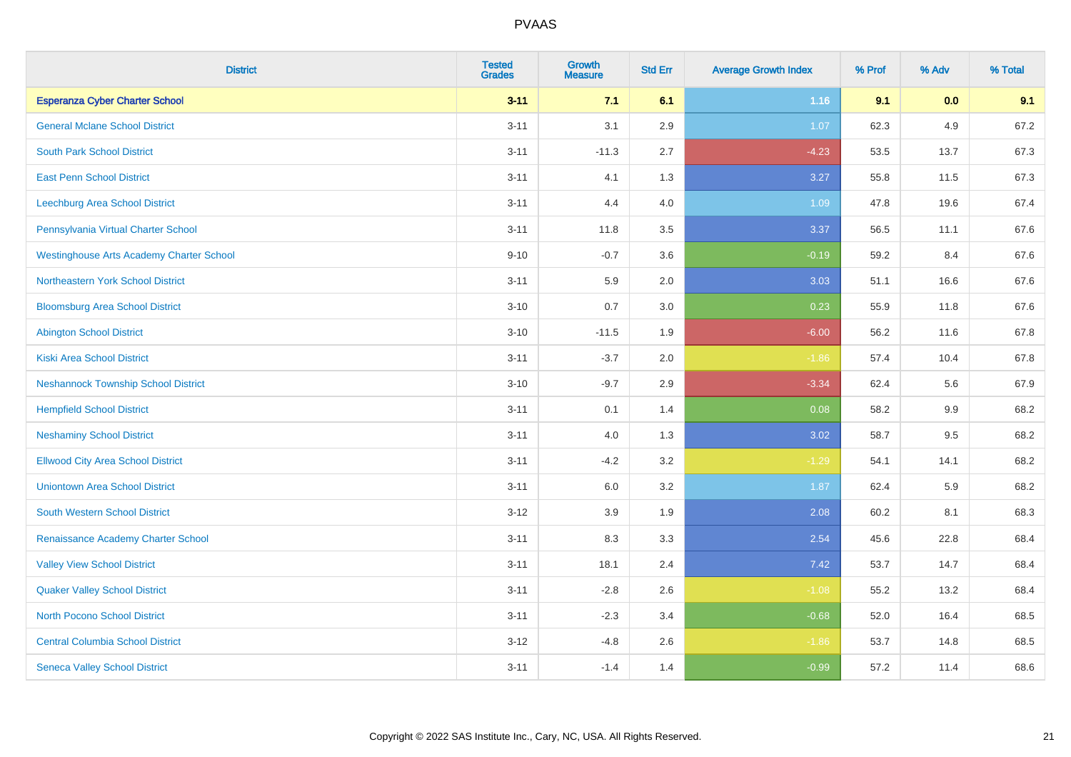| <b>District</b>                                 | <b>Tested</b><br><b>Grades</b> | <b>Growth</b><br><b>Measure</b> | <b>Std Err</b> | <b>Average Growth Index</b> | % Prof | % Adv   | % Total |
|-------------------------------------------------|--------------------------------|---------------------------------|----------------|-----------------------------|--------|---------|---------|
| <b>Esperanza Cyber Charter School</b>           | $3 - 11$                       | 7.1                             | 6.1            | 1.16                        | 9.1    | 0.0     | 9.1     |
| <b>General Mclane School District</b>           | $3 - 11$                       | 3.1                             | 2.9            | 1.07                        | 62.3   | 4.9     | 67.2    |
| <b>South Park School District</b>               | $3 - 11$                       | $-11.3$                         | 2.7            | $-4.23$                     | 53.5   | 13.7    | 67.3    |
| <b>East Penn School District</b>                | $3 - 11$                       | 4.1                             | 1.3            | 3.27                        | 55.8   | 11.5    | 67.3    |
| Leechburg Area School District                  | $3 - 11$                       | 4.4                             | 4.0            | 1.09                        | 47.8   | 19.6    | 67.4    |
| Pennsylvania Virtual Charter School             | $3 - 11$                       | 11.8                            | 3.5            | 3.37                        | 56.5   | 11.1    | 67.6    |
| <b>Westinghouse Arts Academy Charter School</b> | $9 - 10$                       | $-0.7$                          | 3.6            | $-0.19$                     | 59.2   | 8.4     | 67.6    |
| <b>Northeastern York School District</b>        | $3 - 11$                       | 5.9                             | 2.0            | 3.03                        | 51.1   | 16.6    | 67.6    |
| <b>Bloomsburg Area School District</b>          | $3 - 10$                       | 0.7                             | 3.0            | 0.23                        | 55.9   | 11.8    | 67.6    |
| <b>Abington School District</b>                 | $3 - 10$                       | $-11.5$                         | 1.9            | $-6.00$                     | 56.2   | 11.6    | 67.8    |
| <b>Kiski Area School District</b>               | $3 - 11$                       | $-3.7$                          | 2.0            | $-1.86$                     | 57.4   | 10.4    | 67.8    |
| <b>Neshannock Township School District</b>      | $3 - 10$                       | $-9.7$                          | 2.9            | $-3.34$                     | 62.4   | 5.6     | 67.9    |
| <b>Hempfield School District</b>                | $3 - 11$                       | 0.1                             | 1.4            | 0.08                        | 58.2   | $9.9\,$ | 68.2    |
| <b>Neshaminy School District</b>                | $3 - 11$                       | 4.0                             | 1.3            | 3.02                        | 58.7   | 9.5     | 68.2    |
| <b>Ellwood City Area School District</b>        | $3 - 11$                       | $-4.2$                          | 3.2            | $-1.29$                     | 54.1   | 14.1    | 68.2    |
| <b>Uniontown Area School District</b>           | $3 - 11$                       | 6.0                             | 3.2            | 1.87                        | 62.4   | 5.9     | 68.2    |
| <b>South Western School District</b>            | $3 - 12$                       | 3.9                             | 1.9            | 2.08                        | 60.2   | 8.1     | 68.3    |
| Renaissance Academy Charter School              | $3 - 11$                       | 8.3                             | 3.3            | 2.54                        | 45.6   | 22.8    | 68.4    |
| <b>Valley View School District</b>              | $3 - 11$                       | 18.1                            | 2.4            | 7.42                        | 53.7   | 14.7    | 68.4    |
| <b>Quaker Valley School District</b>            | $3 - 11$                       | $-2.8$                          | 2.6            | $-1.08$                     | 55.2   | 13.2    | 68.4    |
| <b>North Pocono School District</b>             | $3 - 11$                       | $-2.3$                          | 3.4            | $-0.68$                     | 52.0   | 16.4    | 68.5    |
| <b>Central Columbia School District</b>         | $3 - 12$                       | $-4.8$                          | 2.6            | $-1.86$                     | 53.7   | 14.8    | 68.5    |
| <b>Seneca Valley School District</b>            | $3 - 11$                       | $-1.4$                          | 1.4            | $-0.99$                     | 57.2   | 11.4    | 68.6    |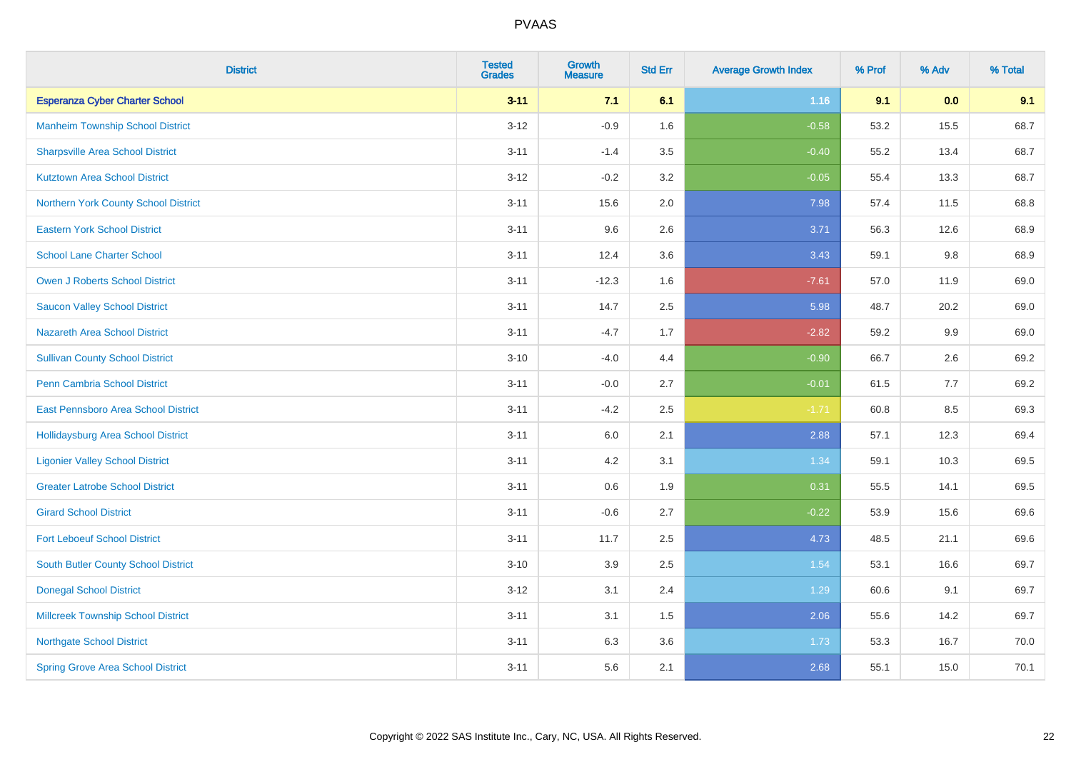| <b>District</b>                             | <b>Tested</b><br><b>Grades</b> | <b>Growth</b><br><b>Measure</b> | <b>Std Err</b> | <b>Average Growth Index</b> | % Prof | % Adv | % Total |
|---------------------------------------------|--------------------------------|---------------------------------|----------------|-----------------------------|--------|-------|---------|
| <b>Esperanza Cyber Charter School</b>       | $3 - 11$                       | 7.1                             | 6.1            | 1.16                        | 9.1    | 0.0   | 9.1     |
| <b>Manheim Township School District</b>     | $3 - 12$                       | $-0.9$                          | 1.6            | $-0.58$                     | 53.2   | 15.5  | 68.7    |
| <b>Sharpsville Area School District</b>     | $3 - 11$                       | $-1.4$                          | 3.5            | $-0.40$                     | 55.2   | 13.4  | 68.7    |
| <b>Kutztown Area School District</b>        | $3 - 12$                       | $-0.2$                          | 3.2            | $-0.05$                     | 55.4   | 13.3  | 68.7    |
| <b>Northern York County School District</b> | $3 - 11$                       | 15.6                            | 2.0            | 7.98                        | 57.4   | 11.5  | 68.8    |
| <b>Eastern York School District</b>         | $3 - 11$                       | 9.6                             | 2.6            | 3.71                        | 56.3   | 12.6  | 68.9    |
| <b>School Lane Charter School</b>           | $3 - 11$                       | 12.4                            | 3.6            | 3.43                        | 59.1   | 9.8   | 68.9    |
| <b>Owen J Roberts School District</b>       | $3 - 11$                       | $-12.3$                         | 1.6            | $-7.61$                     | 57.0   | 11.9  | 69.0    |
| <b>Saucon Valley School District</b>        | $3 - 11$                       | 14.7                            | 2.5            | 5.98                        | 48.7   | 20.2  | 69.0    |
| <b>Nazareth Area School District</b>        | $3 - 11$                       | $-4.7$                          | 1.7            | $-2.82$                     | 59.2   | 9.9   | 69.0    |
| <b>Sullivan County School District</b>      | $3 - 10$                       | $-4.0$                          | 4.4            | $-0.90$                     | 66.7   | 2.6   | 69.2    |
| Penn Cambria School District                | $3 - 11$                       | $-0.0$                          | 2.7            | $-0.01$                     | 61.5   | 7.7   | 69.2    |
| East Pennsboro Area School District         | $3 - 11$                       | $-4.2$                          | 2.5            | $-1.71$                     | 60.8   | 8.5   | 69.3    |
| <b>Hollidaysburg Area School District</b>   | $3 - 11$                       | 6.0                             | 2.1            | 2.88                        | 57.1   | 12.3  | 69.4    |
| <b>Ligonier Valley School District</b>      | $3 - 11$                       | 4.2                             | 3.1            | 1.34                        | 59.1   | 10.3  | 69.5    |
| <b>Greater Latrobe School District</b>      | $3 - 11$                       | $0.6\,$                         | 1.9            | 0.31                        | 55.5   | 14.1  | 69.5    |
| <b>Girard School District</b>               | $3 - 11$                       | $-0.6$                          | 2.7            | $-0.22$                     | 53.9   | 15.6  | 69.6    |
| <b>Fort Leboeuf School District</b>         | $3 - 11$                       | 11.7                            | 2.5            | 4.73                        | 48.5   | 21.1  | 69.6    |
| <b>South Butler County School District</b>  | $3 - 10$                       | 3.9                             | 2.5            | 1.54                        | 53.1   | 16.6  | 69.7    |
| <b>Donegal School District</b>              | $3 - 12$                       | 3.1                             | 2.4            | 1.29                        | 60.6   | 9.1   | 69.7    |
| <b>Millcreek Township School District</b>   | $3 - 11$                       | 3.1                             | 1.5            | 2.06                        | 55.6   | 14.2  | 69.7    |
| <b>Northgate School District</b>            | $3 - 11$                       | 6.3                             | 3.6            | 1.73                        | 53.3   | 16.7  | 70.0    |
| <b>Spring Grove Area School District</b>    | $3 - 11$                       | 5.6                             | 2.1            | 2.68                        | 55.1   | 15.0  | 70.1    |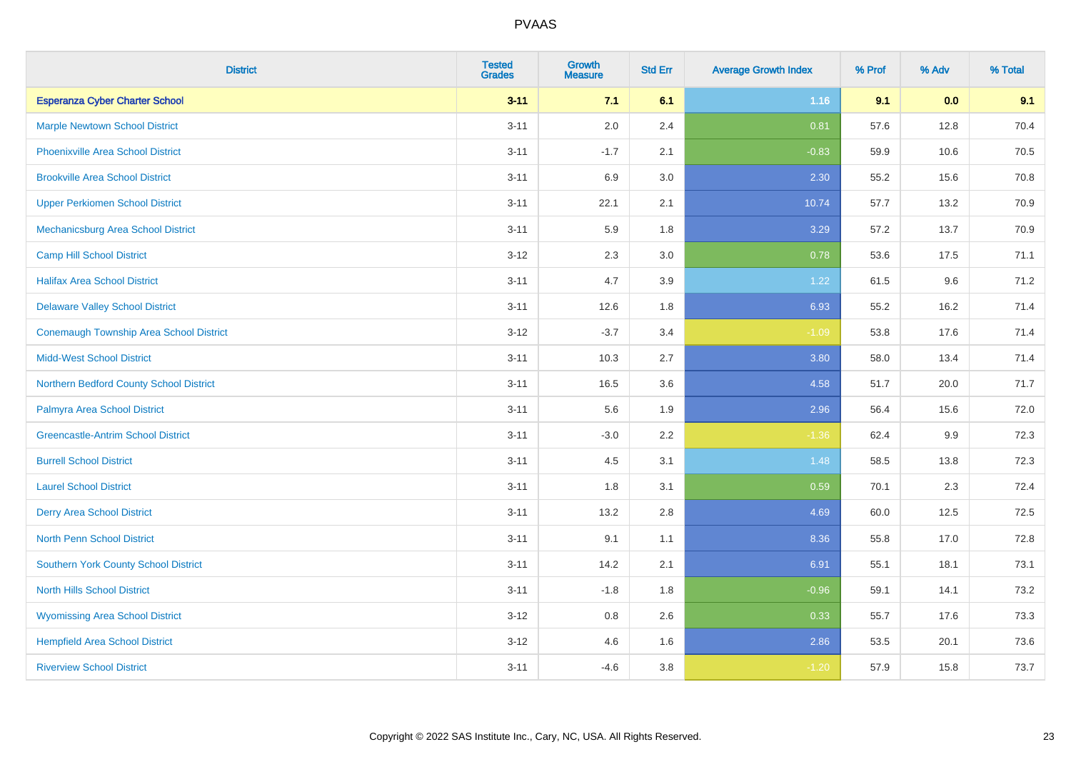| <b>District</b>                                | <b>Tested</b><br><b>Grades</b> | <b>Growth</b><br><b>Measure</b> | <b>Std Err</b> | <b>Average Growth Index</b> | % Prof | % Adv | % Total |
|------------------------------------------------|--------------------------------|---------------------------------|----------------|-----------------------------|--------|-------|---------|
| <b>Esperanza Cyber Charter School</b>          | $3 - 11$                       | 7.1                             | 6.1            | 1.16                        | 9.1    | 0.0   | 9.1     |
| <b>Marple Newtown School District</b>          | $3 - 11$                       | 2.0                             | 2.4            | 0.81                        | 57.6   | 12.8  | 70.4    |
| <b>Phoenixville Area School District</b>       | $3 - 11$                       | $-1.7$                          | 2.1            | $-0.83$                     | 59.9   | 10.6  | 70.5    |
| <b>Brookville Area School District</b>         | $3 - 11$                       | 6.9                             | 3.0            | 2.30                        | 55.2   | 15.6  | 70.8    |
| <b>Upper Perkiomen School District</b>         | $3 - 11$                       | 22.1                            | 2.1            | 10.74                       | 57.7   | 13.2  | 70.9    |
| Mechanicsburg Area School District             | $3 - 11$                       | 5.9                             | 1.8            | 3.29                        | 57.2   | 13.7  | 70.9    |
| <b>Camp Hill School District</b>               | $3 - 12$                       | 2.3                             | 3.0            | 0.78                        | 53.6   | 17.5  | 71.1    |
| <b>Halifax Area School District</b>            | $3 - 11$                       | 4.7                             | 3.9            | 1.22                        | 61.5   | 9.6   | 71.2    |
| <b>Delaware Valley School District</b>         | $3 - 11$                       | 12.6                            | 1.8            | 6.93                        | 55.2   | 16.2  | 71.4    |
| <b>Conemaugh Township Area School District</b> | $3 - 12$                       | $-3.7$                          | 3.4            | $-1.09$                     | 53.8   | 17.6  | 71.4    |
| <b>Midd-West School District</b>               | $3 - 11$                       | 10.3                            | 2.7            | 3.80                        | 58.0   | 13.4  | 71.4    |
| Northern Bedford County School District        | $3 - 11$                       | 16.5                            | 3.6            | 4.58                        | 51.7   | 20.0  | 71.7    |
| Palmyra Area School District                   | $3 - 11$                       | 5.6                             | 1.9            | 2.96                        | 56.4   | 15.6  | 72.0    |
| <b>Greencastle-Antrim School District</b>      | $3 - 11$                       | $-3.0$                          | 2.2            | $-1.36$                     | 62.4   | 9.9   | 72.3    |
| <b>Burrell School District</b>                 | $3 - 11$                       | 4.5                             | 3.1            | 1.48                        | 58.5   | 13.8  | 72.3    |
| <b>Laurel School District</b>                  | $3 - 11$                       | 1.8                             | 3.1            | 0.59                        | 70.1   | 2.3   | 72.4    |
| <b>Derry Area School District</b>              | $3 - 11$                       | 13.2                            | 2.8            | 4.69                        | 60.0   | 12.5  | 72.5    |
| <b>North Penn School District</b>              | $3 - 11$                       | 9.1                             | 1.1            | 8.36                        | 55.8   | 17.0  | 72.8    |
| Southern York County School District           | $3 - 11$                       | 14.2                            | 2.1            | 6.91                        | 55.1   | 18.1  | 73.1    |
| <b>North Hills School District</b>             | $3 - 11$                       | $-1.8$                          | 1.8            | $-0.96$                     | 59.1   | 14.1  | 73.2    |
| <b>Wyomissing Area School District</b>         | $3 - 12$                       | 0.8                             | 2.6            | 0.33                        | 55.7   | 17.6  | 73.3    |
| <b>Hempfield Area School District</b>          | $3 - 12$                       | 4.6                             | 1.6            | 2.86                        | 53.5   | 20.1  | 73.6    |
| <b>Riverview School District</b>               | $3 - 11$                       | $-4.6$                          | 3.8            | $-1.20$                     | 57.9   | 15.8  | 73.7    |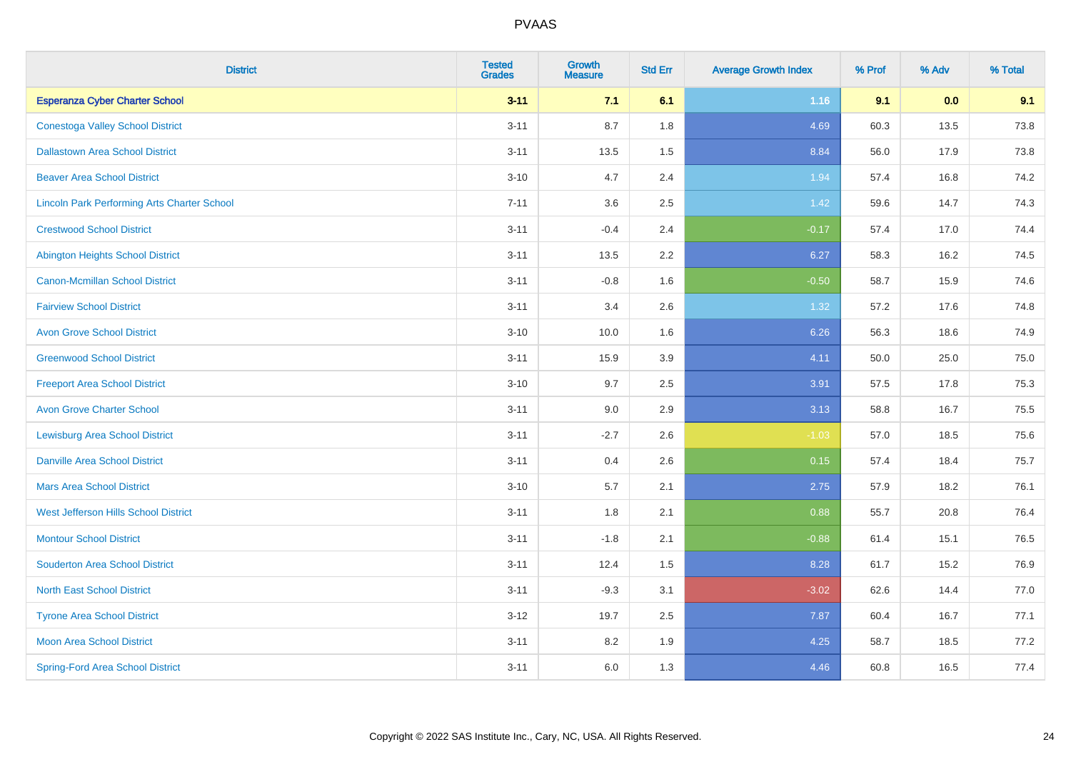| <b>District</b>                                    | <b>Tested</b><br><b>Grades</b> | <b>Growth</b><br><b>Measure</b> | <b>Std Err</b> | <b>Average Growth Index</b> | % Prof | % Adv | % Total |
|----------------------------------------------------|--------------------------------|---------------------------------|----------------|-----------------------------|--------|-------|---------|
| <b>Esperanza Cyber Charter School</b>              | $3 - 11$                       | 7.1                             | 6.1            | 1.16                        | 9.1    | 0.0   | 9.1     |
| <b>Conestoga Valley School District</b>            | $3 - 11$                       | 8.7                             | 1.8            | 4.69                        | 60.3   | 13.5  | 73.8    |
| <b>Dallastown Area School District</b>             | $3 - 11$                       | 13.5                            | 1.5            | 8.84                        | 56.0   | 17.9  | 73.8    |
| <b>Beaver Area School District</b>                 | $3 - 10$                       | 4.7                             | 2.4            | 1.94                        | 57.4   | 16.8  | 74.2    |
| <b>Lincoln Park Performing Arts Charter School</b> | $7 - 11$                       | 3.6                             | 2.5            | 1.42                        | 59.6   | 14.7  | 74.3    |
| <b>Crestwood School District</b>                   | $3 - 11$                       | $-0.4$                          | 2.4            | $-0.17$                     | 57.4   | 17.0  | 74.4    |
| <b>Abington Heights School District</b>            | $3 - 11$                       | 13.5                            | 2.2            | 6.27                        | 58.3   | 16.2  | 74.5    |
| <b>Canon-Mcmillan School District</b>              | $3 - 11$                       | $-0.8$                          | 1.6            | $-0.50$                     | 58.7   | 15.9  | 74.6    |
| <b>Fairview School District</b>                    | $3 - 11$                       | 3.4                             | 2.6            | 1.32                        | 57.2   | 17.6  | 74.8    |
| <b>Avon Grove School District</b>                  | $3 - 10$                       | 10.0                            | 1.6            | 6.26                        | 56.3   | 18.6  | 74.9    |
| <b>Greenwood School District</b>                   | $3 - 11$                       | 15.9                            | 3.9            | 4.11                        | 50.0   | 25.0  | 75.0    |
| <b>Freeport Area School District</b>               | $3 - 10$                       | 9.7                             | 2.5            | 3.91                        | 57.5   | 17.8  | 75.3    |
| <b>Avon Grove Charter School</b>                   | $3 - 11$                       | 9.0                             | 2.9            | 3.13                        | 58.8   | 16.7  | 75.5    |
| <b>Lewisburg Area School District</b>              | $3 - 11$                       | $-2.7$                          | 2.6            | $-1.03$                     | 57.0   | 18.5  | 75.6    |
| <b>Danville Area School District</b>               | $3 - 11$                       | 0.4                             | 2.6            | 0.15                        | 57.4   | 18.4  | 75.7    |
| <b>Mars Area School District</b>                   | $3 - 10$                       | 5.7                             | 2.1            | 2.75                        | 57.9   | 18.2  | 76.1    |
| West Jefferson Hills School District               | $3 - 11$                       | 1.8                             | 2.1            | 0.88                        | 55.7   | 20.8  | 76.4    |
| <b>Montour School District</b>                     | $3 - 11$                       | $-1.8$                          | 2.1            | $-0.88$                     | 61.4   | 15.1  | 76.5    |
| <b>Souderton Area School District</b>              | $3 - 11$                       | 12.4                            | 1.5            | 8.28                        | 61.7   | 15.2  | 76.9    |
| <b>North East School District</b>                  | $3 - 11$                       | $-9.3$                          | 3.1            | $-3.02$                     | 62.6   | 14.4  | 77.0    |
| <b>Tyrone Area School District</b>                 | $3 - 12$                       | 19.7                            | 2.5            | 7.87                        | 60.4   | 16.7  | 77.1    |
| <b>Moon Area School District</b>                   | $3 - 11$                       | 8.2                             | 1.9            | 4.25                        | 58.7   | 18.5  | 77.2    |
| <b>Spring-Ford Area School District</b>            | $3 - 11$                       | 6.0                             | 1.3            | 4.46                        | 60.8   | 16.5  | 77.4    |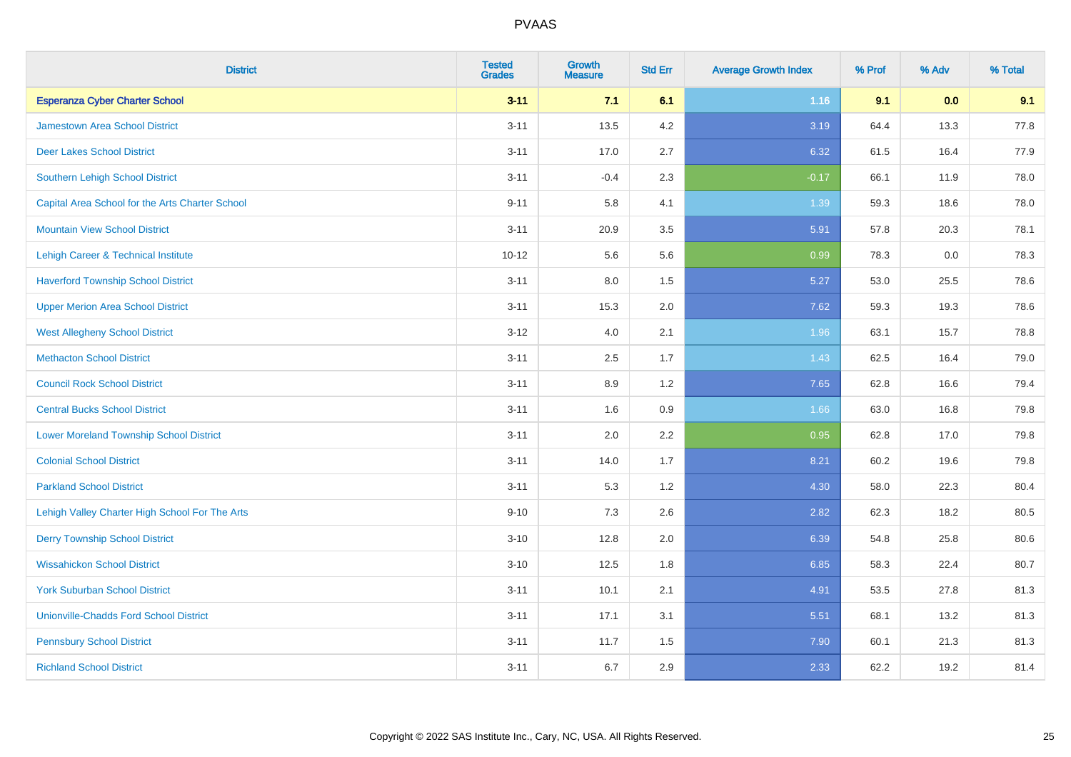| <b>District</b>                                 | <b>Tested</b><br><b>Grades</b> | <b>Growth</b><br><b>Measure</b> | <b>Std Err</b> | <b>Average Growth Index</b> | % Prof | % Adv | % Total |
|-------------------------------------------------|--------------------------------|---------------------------------|----------------|-----------------------------|--------|-------|---------|
| <b>Esperanza Cyber Charter School</b>           | $3 - 11$                       | 7.1                             | 6.1            | 1.16                        | 9.1    | 0.0   | 9.1     |
| <b>Jamestown Area School District</b>           | $3 - 11$                       | 13.5                            | 4.2            | 3.19                        | 64.4   | 13.3  | 77.8    |
| <b>Deer Lakes School District</b>               | $3 - 11$                       | 17.0                            | 2.7            | 6.32                        | 61.5   | 16.4  | 77.9    |
| Southern Lehigh School District                 | $3 - 11$                       | $-0.4$                          | 2.3            | $-0.17$                     | 66.1   | 11.9  | 78.0    |
| Capital Area School for the Arts Charter School | $9 - 11$                       | 5.8                             | 4.1            | 1.39                        | 59.3   | 18.6  | 78.0    |
| <b>Mountain View School District</b>            | $3 - 11$                       | 20.9                            | 3.5            | 5.91                        | 57.8   | 20.3  | 78.1    |
| Lehigh Career & Technical Institute             | $10 - 12$                      | 5.6                             | 5.6            | 0.99                        | 78.3   | 0.0   | 78.3    |
| <b>Haverford Township School District</b>       | $3 - 11$                       | 8.0                             | 1.5            | 5.27                        | 53.0   | 25.5  | 78.6    |
| <b>Upper Merion Area School District</b>        | $3 - 11$                       | 15.3                            | 2.0            | 7.62                        | 59.3   | 19.3  | 78.6    |
| <b>West Allegheny School District</b>           | $3 - 12$                       | 4.0                             | 2.1            | 1.96                        | 63.1   | 15.7  | 78.8    |
| <b>Methacton School District</b>                | $3 - 11$                       | 2.5                             | 1.7            | 1.43                        | 62.5   | 16.4  | 79.0    |
| <b>Council Rock School District</b>             | $3 - 11$                       | 8.9                             | 1.2            | 7.65                        | 62.8   | 16.6  | 79.4    |
| <b>Central Bucks School District</b>            | $3 - 11$                       | 1.6                             | $0.9\,$        | 1.66                        | 63.0   | 16.8  | 79.8    |
| <b>Lower Moreland Township School District</b>  | $3 - 11$                       | 2.0                             | 2.2            | 0.95                        | 62.8   | 17.0  | 79.8    |
| <b>Colonial School District</b>                 | $3 - 11$                       | 14.0                            | 1.7            | 8.21                        | 60.2   | 19.6  | 79.8    |
| <b>Parkland School District</b>                 | $3 - 11$                       | 5.3                             | 1.2            | 4.30                        | 58.0   | 22.3  | 80.4    |
| Lehigh Valley Charter High School For The Arts  | $9 - 10$                       | 7.3                             | 2.6            | 2.82                        | 62.3   | 18.2  | 80.5    |
| <b>Derry Township School District</b>           | $3 - 10$                       | 12.8                            | 2.0            | 6.39                        | 54.8   | 25.8  | 80.6    |
| <b>Wissahickon School District</b>              | $3 - 10$                       | 12.5                            | 1.8            | 6.85                        | 58.3   | 22.4  | 80.7    |
| <b>York Suburban School District</b>            | $3 - 11$                       | 10.1                            | 2.1            | 4.91                        | 53.5   | 27.8  | 81.3    |
| <b>Unionville-Chadds Ford School District</b>   | $3 - 11$                       | 17.1                            | 3.1            | 5.51                        | 68.1   | 13.2  | 81.3    |
| <b>Pennsbury School District</b>                | $3 - 11$                       | 11.7                            | 1.5            | 7.90                        | 60.1   | 21.3  | 81.3    |
| <b>Richland School District</b>                 | $3 - 11$                       | 6.7                             | 2.9            | 2.33                        | 62.2   | 19.2  | 81.4    |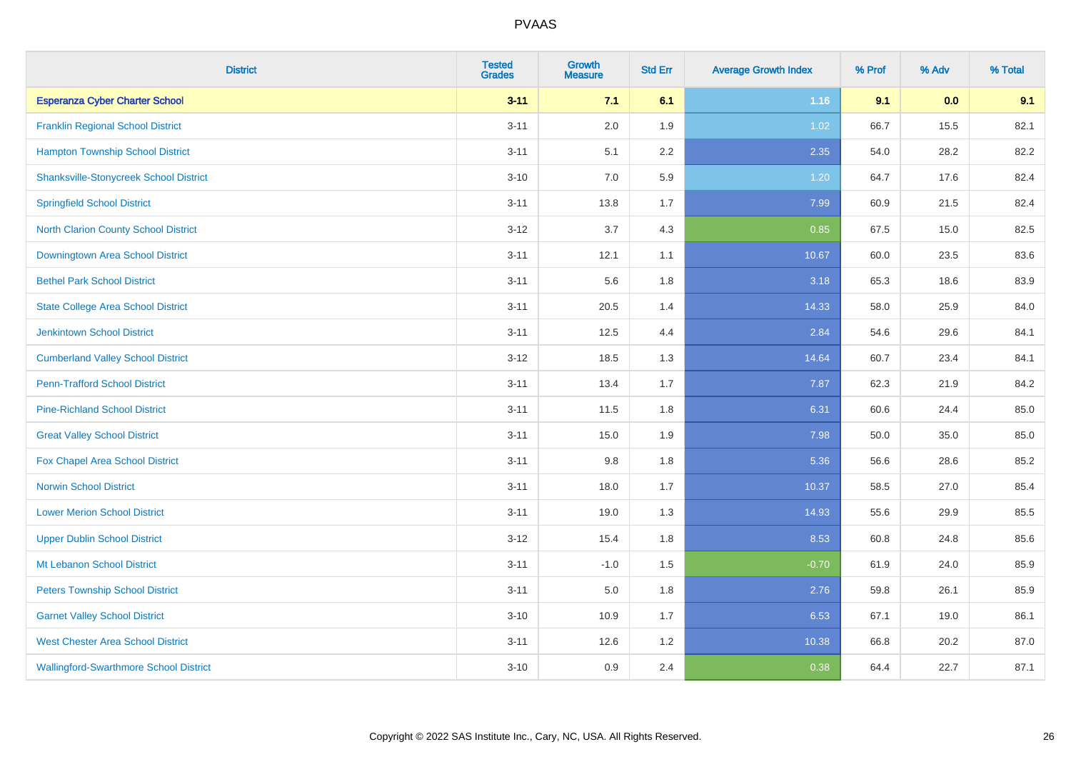| <b>District</b>                               | <b>Tested</b><br><b>Grades</b> | <b>Growth</b><br><b>Measure</b> | <b>Std Err</b> | <b>Average Growth Index</b> | % Prof | % Adv | % Total |
|-----------------------------------------------|--------------------------------|---------------------------------|----------------|-----------------------------|--------|-------|---------|
| <b>Esperanza Cyber Charter School</b>         | $3 - 11$                       | 7.1                             | 6.1            | 1.16                        | 9.1    | 0.0   | 9.1     |
| <b>Franklin Regional School District</b>      | $3 - 11$                       | 2.0                             | 1.9            | 1.02                        | 66.7   | 15.5  | 82.1    |
| <b>Hampton Township School District</b>       | $3 - 11$                       | 5.1                             | 2.2            | 2.35                        | 54.0   | 28.2  | 82.2    |
| <b>Shanksville-Stonycreek School District</b> | $3 - 10$                       | 7.0                             | 5.9            | 1.20                        | 64.7   | 17.6  | 82.4    |
| <b>Springfield School District</b>            | $3 - 11$                       | 13.8                            | 1.7            | 7.99                        | 60.9   | 21.5  | 82.4    |
| <b>North Clarion County School District</b>   | $3 - 12$                       | 3.7                             | 4.3            | 0.85                        | 67.5   | 15.0  | 82.5    |
| Downingtown Area School District              | $3 - 11$                       | 12.1                            | 1.1            | 10.67                       | 60.0   | 23.5  | 83.6    |
| <b>Bethel Park School District</b>            | $3 - 11$                       | 5.6                             | 1.8            | 3.18                        | 65.3   | 18.6  | 83.9    |
| <b>State College Area School District</b>     | $3 - 11$                       | 20.5                            | 1.4            | 14.33                       | 58.0   | 25.9  | 84.0    |
| <b>Jenkintown School District</b>             | $3 - 11$                       | 12.5                            | 4.4            | 2.84                        | 54.6   | 29.6  | 84.1    |
| <b>Cumberland Valley School District</b>      | $3 - 12$                       | 18.5                            | 1.3            | 14.64                       | 60.7   | 23.4  | 84.1    |
| <b>Penn-Trafford School District</b>          | $3 - 11$                       | 13.4                            | 1.7            | 7.87                        | 62.3   | 21.9  | 84.2    |
| <b>Pine-Richland School District</b>          | $3 - 11$                       | 11.5                            | 1.8            | 6.31                        | 60.6   | 24.4  | 85.0    |
| <b>Great Valley School District</b>           | $3 - 11$                       | 15.0                            | 1.9            | 7.98                        | 50.0   | 35.0  | 85.0    |
| Fox Chapel Area School District               | $3 - 11$                       | 9.8                             | 1.8            | 5.36                        | 56.6   | 28.6  | 85.2    |
| <b>Norwin School District</b>                 | $3 - 11$                       | 18.0                            | 1.7            | 10.37                       | 58.5   | 27.0  | 85.4    |
| <b>Lower Merion School District</b>           | $3 - 11$                       | 19.0                            | 1.3            | 14.93                       | 55.6   | 29.9  | 85.5    |
| <b>Upper Dublin School District</b>           | $3 - 12$                       | 15.4                            | 1.8            | 8.53                        | 60.8   | 24.8  | 85.6    |
| Mt Lebanon School District                    | $3 - 11$                       | $-1.0$                          | 1.5            | $-0.70$                     | 61.9   | 24.0  | 85.9    |
| <b>Peters Township School District</b>        | $3 - 11$                       | 5.0                             | 1.8            | 2.76                        | 59.8   | 26.1  | 85.9    |
| <b>Garnet Valley School District</b>          | $3 - 10$                       | 10.9                            | 1.7            | 6.53                        | 67.1   | 19.0  | 86.1    |
| <b>West Chester Area School District</b>      | $3 - 11$                       | 12.6                            | 1.2            | 10.38                       | 66.8   | 20.2  | 87.0    |
| <b>Wallingford-Swarthmore School District</b> | $3 - 10$                       | 0.9                             | 2.4            | 0.38                        | 64.4   | 22.7  | 87.1    |